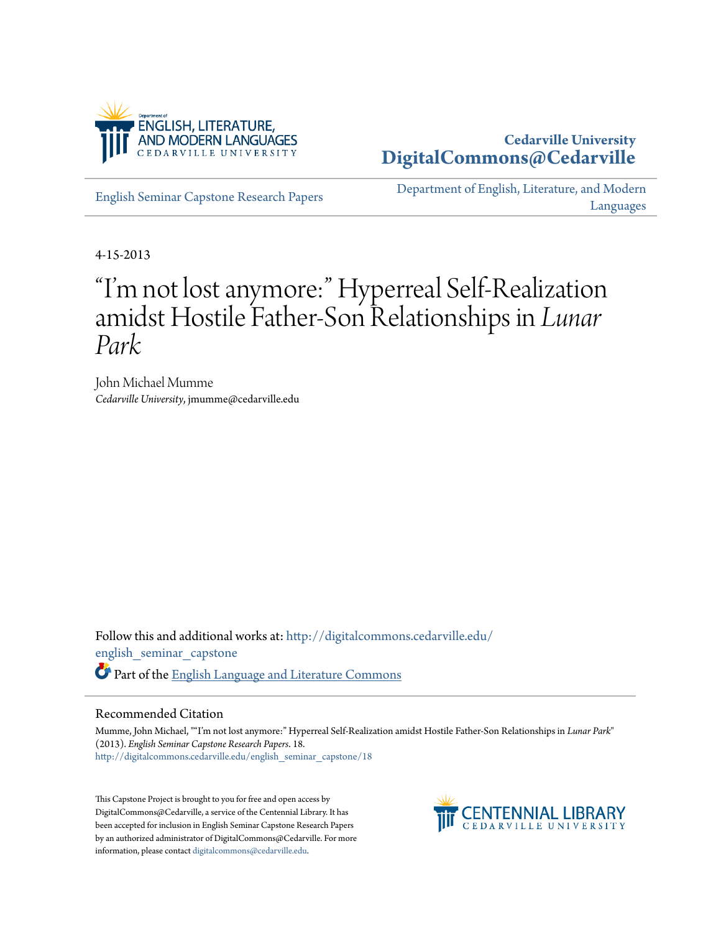

# **Cedarville University [DigitalCommons@Cedarville](http://digitalcommons.cedarville.edu?utm_source=digitalcommons.cedarville.edu%2Fenglish_seminar_capstone%2F18&utm_medium=PDF&utm_campaign=PDFCoverPages)**

[English Seminar Capstone Research Papers](http://digitalcommons.cedarville.edu/english_seminar_capstone?utm_source=digitalcommons.cedarville.edu%2Fenglish_seminar_capstone%2F18&utm_medium=PDF&utm_campaign=PDFCoverPages)

[Department of English, Literature, and Modern](http://digitalcommons.cedarville.edu/english_literature_modern_languages?utm_source=digitalcommons.cedarville.edu%2Fenglish_seminar_capstone%2F18&utm_medium=PDF&utm_campaign=PDFCoverPages) [Languages](http://digitalcommons.cedarville.edu/english_literature_modern_languages?utm_source=digitalcommons.cedarville.edu%2Fenglish_seminar_capstone%2F18&utm_medium=PDF&utm_campaign=PDFCoverPages)

4-15-2013

# "I'm not lost anymore:" Hyperreal Self-Realization amidst Hostile Father-Son Relationships in *Lunar Park*

John Michael Mumme *Cedarville University*, jmumme@cedarville.edu

Follow this and additional works at: [http://digitalcommons.cedarville.edu/](http://digitalcommons.cedarville.edu/english_seminar_capstone?utm_source=digitalcommons.cedarville.edu%2Fenglish_seminar_capstone%2F18&utm_medium=PDF&utm_campaign=PDFCoverPages) [english\\_seminar\\_capstone](http://digitalcommons.cedarville.edu/english_seminar_capstone?utm_source=digitalcommons.cedarville.edu%2Fenglish_seminar_capstone%2F18&utm_medium=PDF&utm_campaign=PDFCoverPages) Part of the [English Language and Literature Commons](http://network.bepress.com/hgg/discipline/455?utm_source=digitalcommons.cedarville.edu%2Fenglish_seminar_capstone%2F18&utm_medium=PDF&utm_campaign=PDFCoverPages)

# Recommended Citation

Mumme, John Michael, ""I'm not lost anymore:" Hyperreal Self-Realization amidst Hostile Father-Son Relationships in *Lunar Park*" (2013). *English Seminar Capstone Research Papers*. 18. [http://digitalcommons.cedarville.edu/english\\_seminar\\_capstone/18](http://digitalcommons.cedarville.edu/english_seminar_capstone/18?utm_source=digitalcommons.cedarville.edu%2Fenglish_seminar_capstone%2F18&utm_medium=PDF&utm_campaign=PDFCoverPages)

This Capstone Project is brought to you for free and open access by DigitalCommons@Cedarville, a service of the Centennial Library. It has been accepted for inclusion in English Seminar Capstone Research Papers by an authorized administrator of DigitalCommons@Cedarville. For more information, please contact [digitalcommons@cedarville.edu.](mailto:digitalcommons@cedarville.edu)

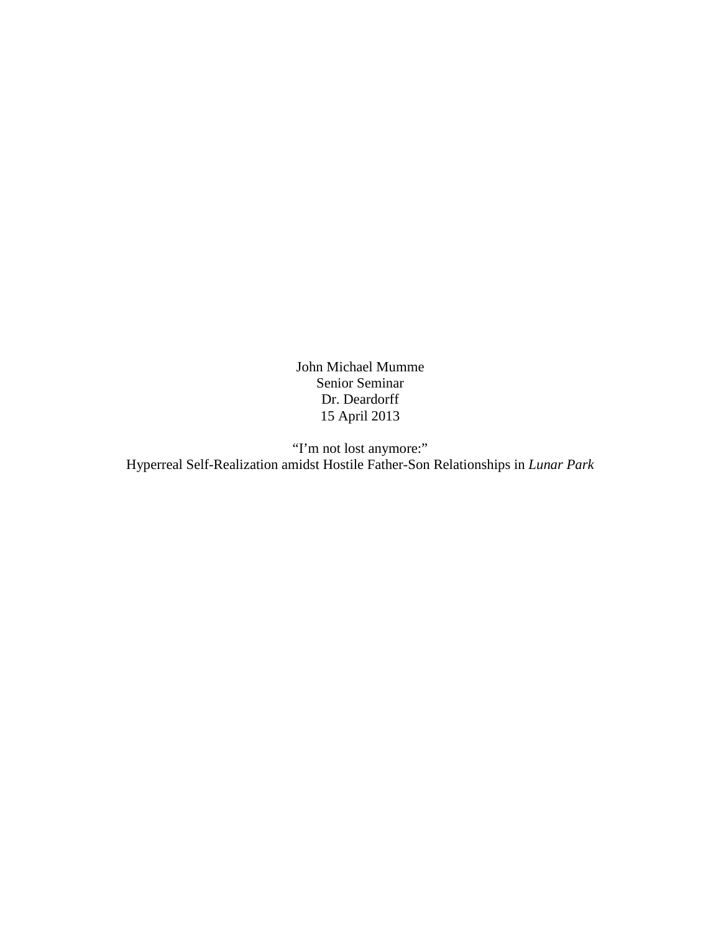John Michael Mumme Senior Seminar Dr. Deardorff 15 April 2013

"I'm not lost anymore:" Hyperreal Self-Realization amidst Hostile Father-Son Relationships in *Lunar Park*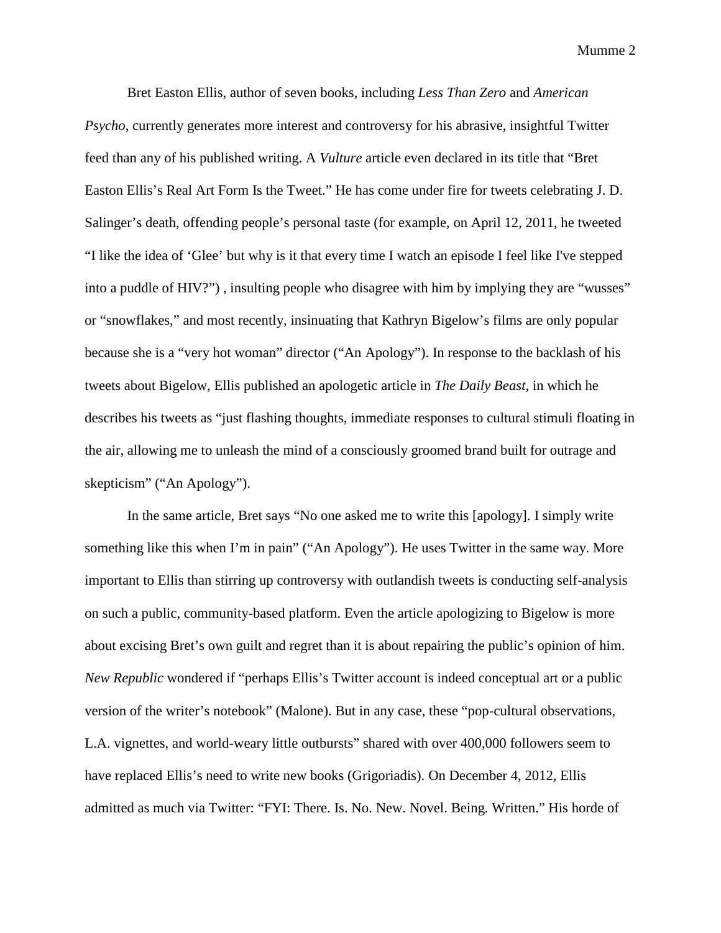Bret Easton Ellis, author of seven books, including *Less Than Zero* and *American Psycho*, currently generates more interest and controversy for his abrasive, insightful Twitter feed than any of his published writing. A *Vulture* article even declared in its title that "Bret Easton Ellis's Real Art Form Is the Tweet." He has come under fire for tweets celebrating J. D. Salinger's death, offending people's personal taste (for example, on April 12, 2011, he tweeted "I like the idea of 'Glee' but why is it that every time I watch an episode I feel like I've stepped into a puddle of HIV?") , insulting people who disagree with him by implying they are "wusses" or "snowflakes," and most recently, insinuating that Kathryn Bigelow's films are only popular because she is a "very hot woman" director ("An Apology"). In response to the backlash of his tweets about Bigelow, Ellis published an apologetic article in *The Daily Beast*, in which he describes his tweets as "just flashing thoughts, immediate responses to cultural stimuli floating in the air, allowing me to unleash the mind of a consciously groomed brand built for outrage and skepticism" ("An Apology").

In the same article, Bret says "No one asked me to write this [apology]. I simply write something like this when I'm in pain" ("An Apology"). He uses Twitter in the same way. More important to Ellis than stirring up controversy with outlandish tweets is conducting self-analysis on such a public, community-based platform. Even the article apologizing to Bigelow is more about excising Bret's own guilt and regret than it is about repairing the public's opinion of him. *New Republic* wondered if "perhaps Ellis's Twitter account is indeed conceptual art or a public version of the writer's notebook" (Malone). But in any case, these "pop-cultural observations, L.A. vignettes, and world-weary little outbursts" shared with over 400,000 followers seem to have replaced Ellis's need to write new books (Grigoriadis). On December 4, 2012, Ellis admitted as much via Twitter: "FYI: There. Is. No. New. Novel. Being. Written." His horde of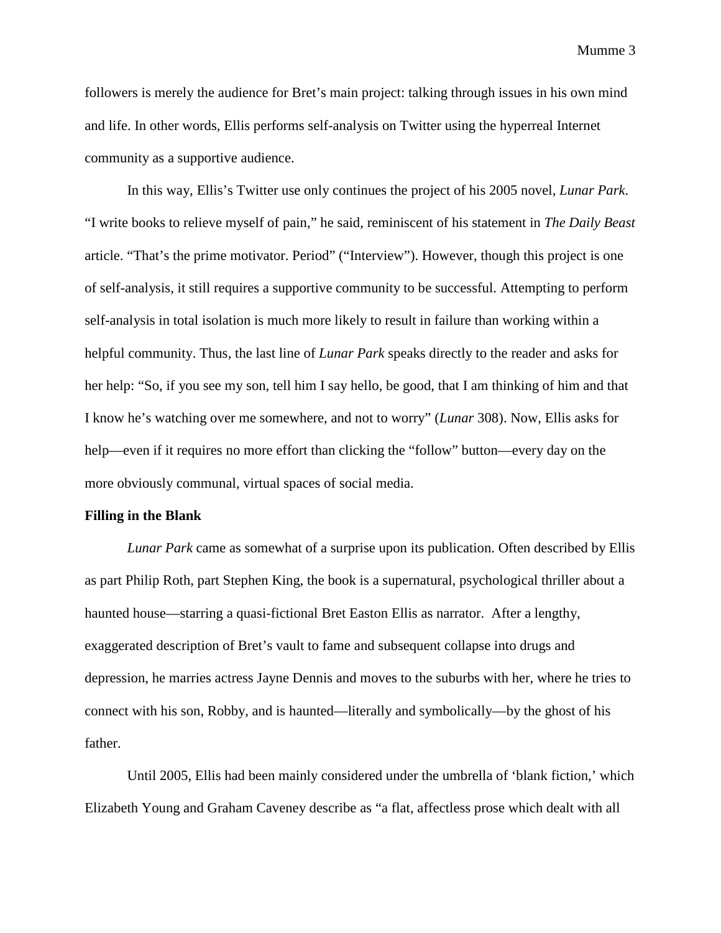followers is merely the audience for Bret's main project: talking through issues in his own mind and life. In other words, Ellis performs self-analysis on Twitter using the hyperreal Internet community as a supportive audience.

In this way, Ellis's Twitter use only continues the project of his 2005 novel, *Lunar Park*. "I write books to relieve myself of pain," he said, reminiscent of his statement in *The Daily Beast*  article. "That's the prime motivator. Period" ("Interview"). However, though this project is one of self-analysis, it still requires a supportive community to be successful. Attempting to perform self-analysis in total isolation is much more likely to result in failure than working within a helpful community. Thus, the last line of *Lunar Park* speaks directly to the reader and asks for her help: "So, if you see my son, tell him I say hello, be good, that I am thinking of him and that I know he's watching over me somewhere, and not to worry" (*Lunar* 308). Now, Ellis asks for help—even if it requires no more effort than clicking the "follow" button—every day on the more obviously communal, virtual spaces of social media.

#### **Filling in the Blank**

*Lunar Park* came as somewhat of a surprise upon its publication. Often described by Ellis as part Philip Roth, part Stephen King, the book is a supernatural, psychological thriller about a haunted house—starring a quasi-fictional Bret Easton Ellis as narrator. After a lengthy, exaggerated description of Bret's vault to fame and subsequent collapse into drugs and depression, he marries actress Jayne Dennis and moves to the suburbs with her, where he tries to connect with his son, Robby, and is haunted—literally and symbolically—by the ghost of his father.

Until 2005, Ellis had been mainly considered under the umbrella of 'blank fiction,' which Elizabeth Young and Graham Caveney describe as "a flat, affectless prose which dealt with all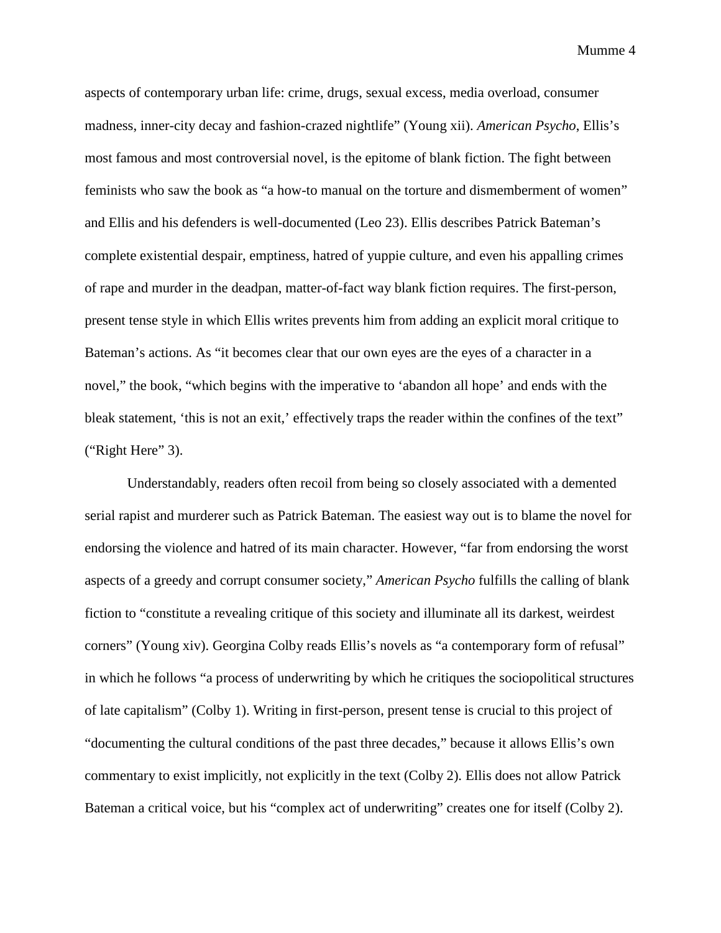aspects of contemporary urban life: crime, drugs, sexual excess, media overload, consumer madness, inner-city decay and fashion-crazed nightlife" (Young xii). *American Psycho*, Ellis's most famous and most controversial novel, is the epitome of blank fiction. The fight between feminists who saw the book as "a how-to manual on the torture and dismemberment of women" and Ellis and his defenders is well-documented (Leo 23). Ellis describes Patrick Bateman's complete existential despair, emptiness, hatred of yuppie culture, and even his appalling crimes of rape and murder in the deadpan, matter-of-fact way blank fiction requires. The first-person, present tense style in which Ellis writes prevents him from adding an explicit moral critique to Bateman's actions. As "it becomes clear that our own eyes are the eyes of a character in a novel," the book, "which begins with the imperative to 'abandon all hope' and ends with the bleak statement, 'this is not an exit,' effectively traps the reader within the confines of the text" ("Right Here" 3).

Understandably, readers often recoil from being so closely associated with a demented serial rapist and murderer such as Patrick Bateman. The easiest way out is to blame the novel for endorsing the violence and hatred of its main character. However, "far from endorsing the worst aspects of a greedy and corrupt consumer society," *American Psycho* fulfills the calling of blank fiction to "constitute a revealing critique of this society and illuminate all its darkest, weirdest corners" (Young xiv). Georgina Colby reads Ellis's novels as "a contemporary form of refusal" in which he follows "a process of underwriting by which he critiques the sociopolitical structures of late capitalism" (Colby 1). Writing in first-person, present tense is crucial to this project of "documenting the cultural conditions of the past three decades," because it allows Ellis's own commentary to exist implicitly, not explicitly in the text (Colby 2). Ellis does not allow Patrick Bateman a critical voice, but his "complex act of underwriting" creates one for itself (Colby 2).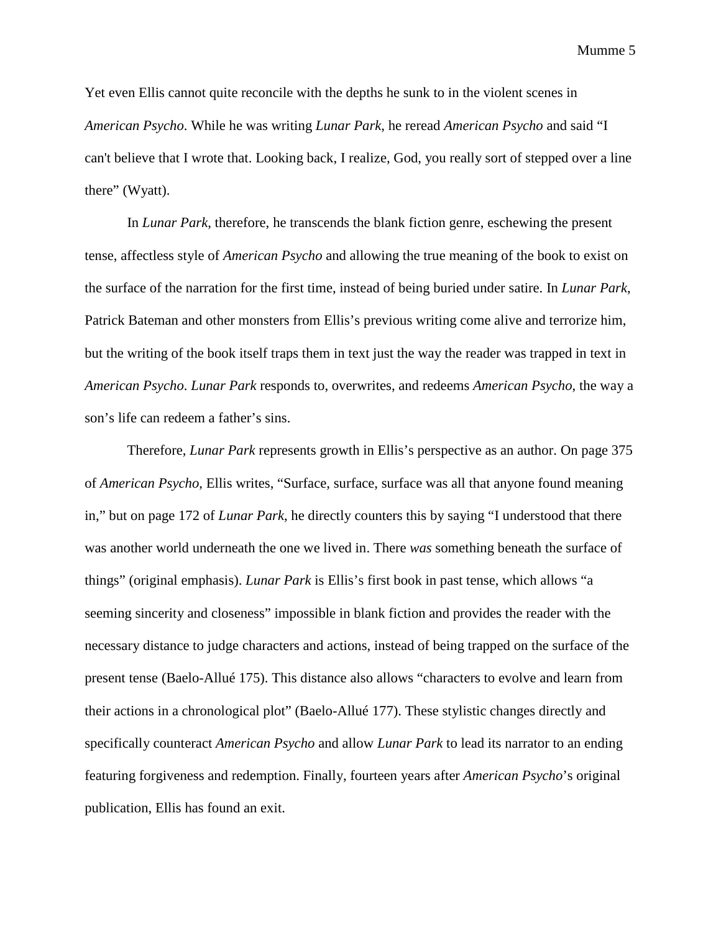Yet even Ellis cannot quite reconcile with the depths he sunk to in the violent scenes in *American Psycho*. While he was writing *Lunar Park*, he reread *American Psycho* and said "I can't believe that I wrote that. Looking back, I realize, God, you really sort of stepped over a line there" (Wyatt).

In *Lunar Park*, therefore, he transcends the blank fiction genre, eschewing the present tense, affectless style of *American Psycho* and allowing the true meaning of the book to exist on the surface of the narration for the first time, instead of being buried under satire. In *Lunar Park*, Patrick Bateman and other monsters from Ellis's previous writing come alive and terrorize him, but the writing of the book itself traps them in text just the way the reader was trapped in text in *American Psycho*. *Lunar Park* responds to, overwrites, and redeems *American Psycho*, the way a son's life can redeem a father's sins.

Therefore, *Lunar Park* represents growth in Ellis's perspective as an author. On page 375 of *American Psycho*, Ellis writes, "Surface, surface, surface was all that anyone found meaning in," but on page 172 of *Lunar Park*, he directly counters this by saying "I understood that there was another world underneath the one we lived in. There *was* something beneath the surface of things" (original emphasis). *Lunar Park* is Ellis's first book in past tense, which allows "a seeming sincerity and closeness" impossible in blank fiction and provides the reader with the necessary distance to judge characters and actions, instead of being trapped on the surface of the present tense (Baelo-Allué 175). This distance also allows "characters to evolve and learn from their actions in a chronological plot" (Baelo-Allué 177). These stylistic changes directly and specifically counteract *American Psycho* and allow *Lunar Park* to lead its narrator to an ending featuring forgiveness and redemption. Finally, fourteen years after *American Psycho*'s original publication, Ellis has found an exit.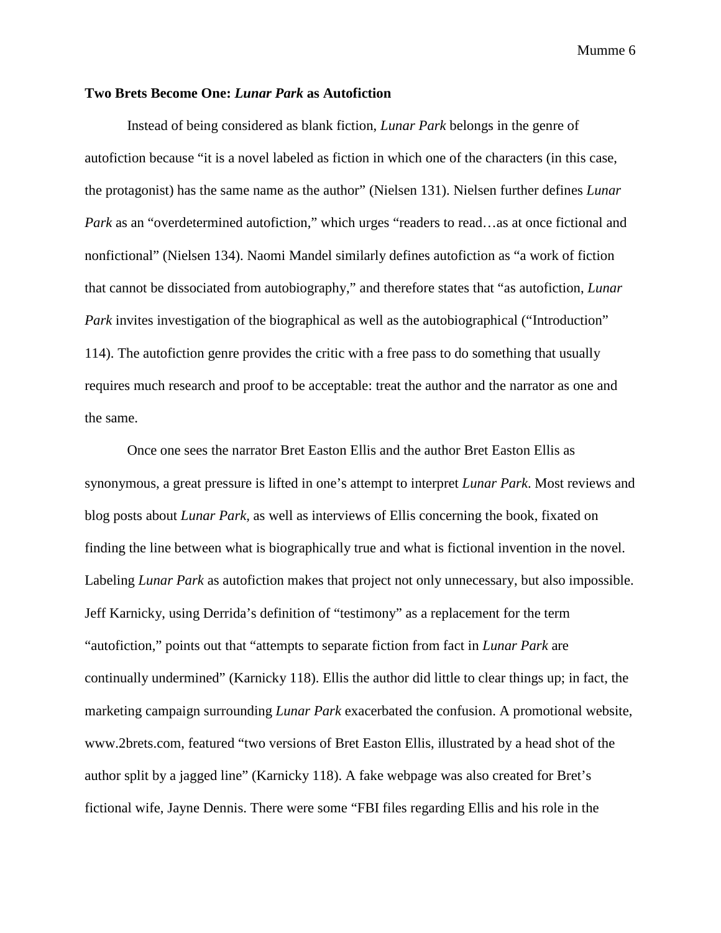# **Two Brets Become One:** *Lunar Park* **as Autofiction**

Instead of being considered as blank fiction, *Lunar Park* belongs in the genre of autofiction because "it is a novel labeled as fiction in which one of the characters (in this case, the protagonist) has the same name as the author" (Nielsen 131). Nielsen further defines *Lunar Park* as an "overdetermined autofiction," which urges "readers to read...as at once fictional and nonfictional" (Nielsen 134). Naomi Mandel similarly defines autofiction as "a work of fiction that cannot be dissociated from autobiography," and therefore states that "as autofiction, *Lunar Park* invites investigation of the biographical as well as the autobiographical ("Introduction" 114). The autofiction genre provides the critic with a free pass to do something that usually requires much research and proof to be acceptable: treat the author and the narrator as one and the same.

Once one sees the narrator Bret Easton Ellis and the author Bret Easton Ellis as synonymous, a great pressure is lifted in one's attempt to interpret *Lunar Park*. Most reviews and blog posts about *Lunar Park,* as well as interviews of Ellis concerning the book, fixated on finding the line between what is biographically true and what is fictional invention in the novel. Labeling *Lunar Park* as autofiction makes that project not only unnecessary, but also impossible. Jeff Karnicky, using Derrida's definition of "testimony" as a replacement for the term "autofiction," points out that "attempts to separate fiction from fact in *Lunar Park* are continually undermined" (Karnicky 118). Ellis the author did little to clear things up; in fact, the marketing campaign surrounding *Lunar Park* exacerbated the confusion. A promotional website, www.2brets.com, featured "two versions of Bret Easton Ellis, illustrated by a head shot of the author split by a jagged line" (Karnicky 118). A fake webpage was also created for Bret's fictional wife, Jayne Dennis. There were some "FBI files regarding Ellis and his role in the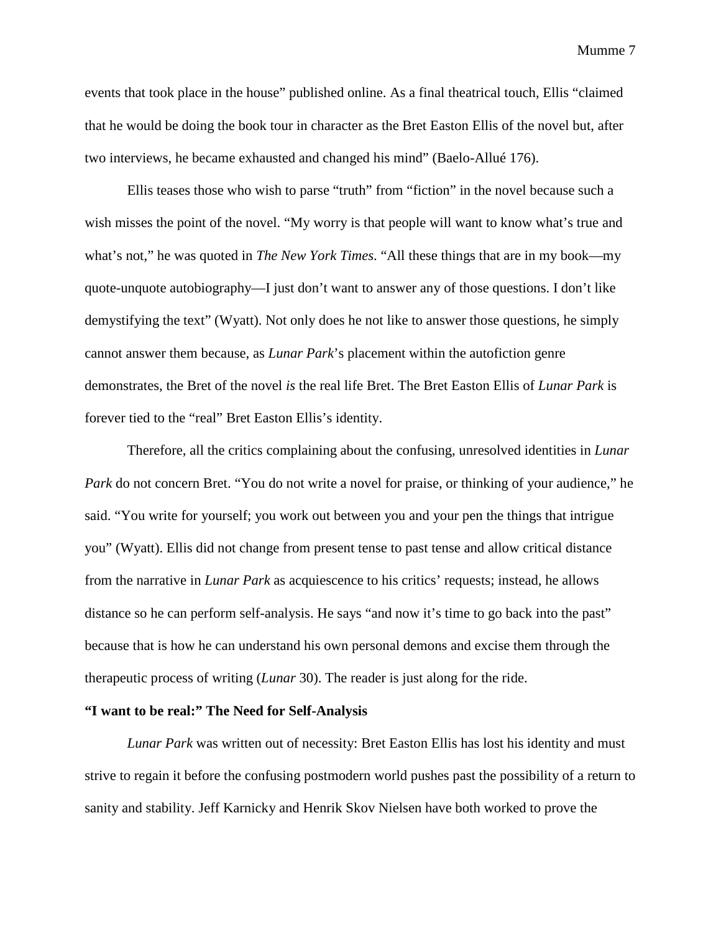events that took place in the house" published online. As a final theatrical touch, Ellis "claimed that he would be doing the book tour in character as the Bret Easton Ellis of the novel but, after two interviews, he became exhausted and changed his mind" (Baelo-Allué 176).

Ellis teases those who wish to parse "truth" from "fiction" in the novel because such a wish misses the point of the novel. "My worry is that people will want to know what's true and what's not," he was quoted in *The New York Times*. "All these things that are in my book—my quote-unquote autobiography—I just don't want to answer any of those questions. I don't like demystifying the text" (Wyatt). Not only does he not like to answer those questions, he simply cannot answer them because, as *Lunar Park*'s placement within the autofiction genre demonstrates, the Bret of the novel *is* the real life Bret. The Bret Easton Ellis of *Lunar Park* is forever tied to the "real" Bret Easton Ellis's identity.

Therefore, all the critics complaining about the confusing, unresolved identities in *Lunar Park* do not concern Bret. "You do not write a novel for praise, or thinking of your audience," he said. "You write for yourself; you work out between you and your pen the things that intrigue you" (Wyatt). Ellis did not change from present tense to past tense and allow critical distance from the narrative in *Lunar Park* as acquiescence to his critics' requests; instead, he allows distance so he can perform self-analysis. He says "and now it's time to go back into the past" because that is how he can understand his own personal demons and excise them through the therapeutic process of writing (*Lunar* 30). The reader is just along for the ride.

# **"I want to be real:" The Need for Self-Analysis**

*Lunar Park* was written out of necessity: Bret Easton Ellis has lost his identity and must strive to regain it before the confusing postmodern world pushes past the possibility of a return to sanity and stability. Jeff Karnicky and Henrik Skov Nielsen have both worked to prove the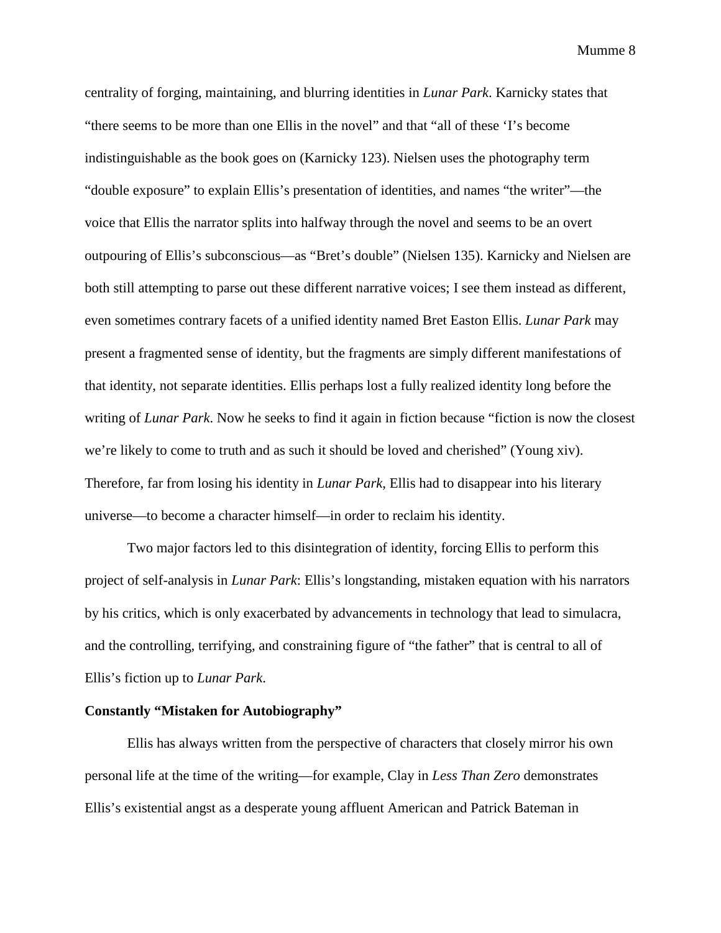centrality of forging, maintaining, and blurring identities in *Lunar Park*. Karnicky states that "there seems to be more than one Ellis in the novel" and that "all of these 'I's become indistinguishable as the book goes on (Karnicky 123). Nielsen uses the photography term "double exposure" to explain Ellis's presentation of identities, and names "the writer"—the voice that Ellis the narrator splits into halfway through the novel and seems to be an overt outpouring of Ellis's subconscious—as "Bret's double" (Nielsen 135). Karnicky and Nielsen are both still attempting to parse out these different narrative voices; I see them instead as different, even sometimes contrary facets of a unified identity named Bret Easton Ellis. *Lunar Park* may present a fragmented sense of identity, but the fragments are simply different manifestations of that identity, not separate identities. Ellis perhaps lost a fully realized identity long before the writing of *Lunar Park*. Now he seeks to find it again in fiction because "fiction is now the closest we're likely to come to truth and as such it should be loved and cherished" (Young xiv). Therefore, far from losing his identity in *Lunar Park*, Ellis had to disappear into his literary universe—to become a character himself—in order to reclaim his identity.

Two major factors led to this disintegration of identity, forcing Ellis to perform this project of self-analysis in *Lunar Park*: Ellis's longstanding, mistaken equation with his narrators by his critics, which is only exacerbated by advancements in technology that lead to simulacra, and the controlling, terrifying, and constraining figure of "the father" that is central to all of Ellis's fiction up to *Lunar Park*.

#### **Constantly "Mistaken for Autobiography"**

Ellis has always written from the perspective of characters that closely mirror his own personal life at the time of the writing—for example, Clay in *Less Than Zero* demonstrates Ellis's existential angst as a desperate young affluent American and Patrick Bateman in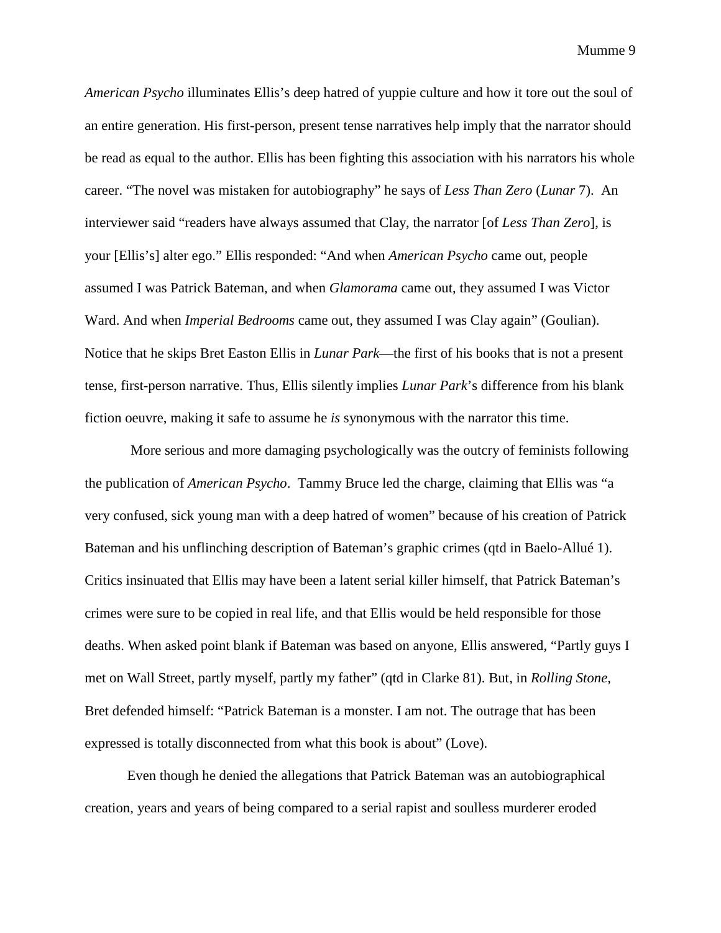*American Psycho* illuminates Ellis's deep hatred of yuppie culture and how it tore out the soul of an entire generation. His first-person, present tense narratives help imply that the narrator should be read as equal to the author. Ellis has been fighting this association with his narrators his whole career. "The novel was mistaken for autobiography" he says of *Less Than Zero* (*Lunar* 7). An interviewer said "readers have always assumed that Clay, the narrator [of *Less Than Zero*], is your [Ellis's] alter ego." Ellis responded: "And when *American Psycho* came out, people assumed I was Patrick Bateman, and when *Glamorama* came out, they assumed I was Victor Ward. And when *Imperial Bedrooms* came out, they assumed I was Clay again" (Goulian). Notice that he skips Bret Easton Ellis in *Lunar Park*—the first of his books that is not a present tense, first-person narrative. Thus, Ellis silently implies *Lunar Park*'s difference from his blank fiction oeuvre, making it safe to assume he *is* synonymous with the narrator this time.

More serious and more damaging psychologically was the outcry of feminists following the publication of *American Psycho*. Tammy Bruce led the charge, claiming that Ellis was "a very confused, sick young man with a deep hatred of women" because of his creation of Patrick Bateman and his unflinching description of Bateman's graphic crimes (qtd in Baelo-Allué 1). Critics insinuated that Ellis may have been a latent serial killer himself, that Patrick Bateman's crimes were sure to be copied in real life, and that Ellis would be held responsible for those deaths. When asked point blank if Bateman was based on anyone, Ellis answered, "Partly guys I met on Wall Street, partly myself, partly my father" (qtd in Clarke 81). But, in *Rolling Stone*, Bret defended himself: "Patrick Bateman is a monster. I am not. The outrage that has been expressed is totally disconnected from what this book is about" (Love).

Even though he denied the allegations that Patrick Bateman was an autobiographical creation, years and years of being compared to a serial rapist and soulless murderer eroded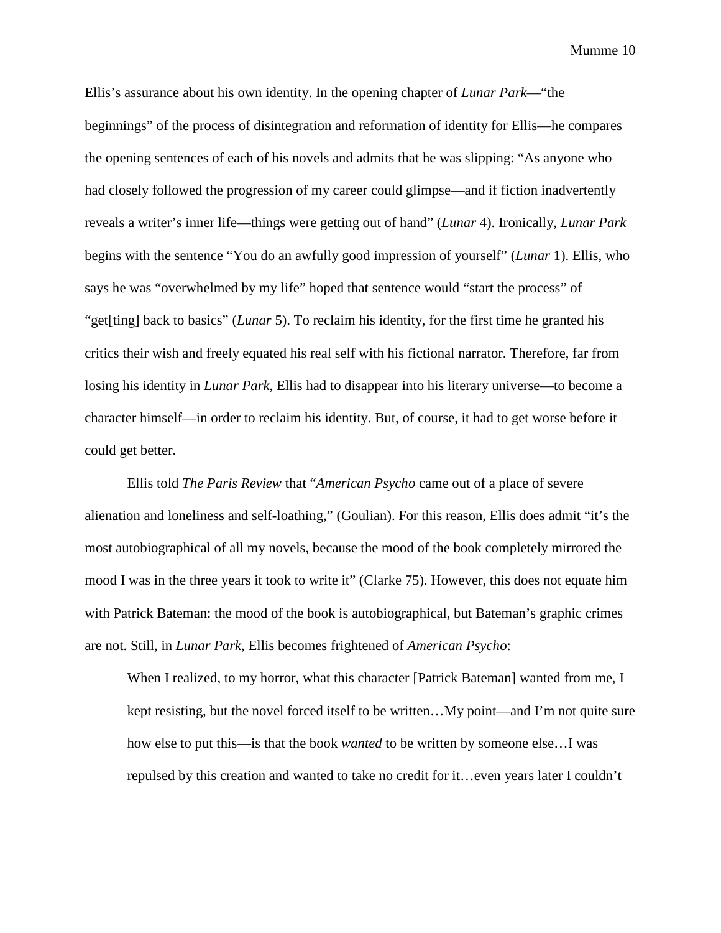Ellis's assurance about his own identity. In the opening chapter of *Lunar Park*—"the beginnings" of the process of disintegration and reformation of identity for Ellis—he compares the opening sentences of each of his novels and admits that he was slipping: "As anyone who had closely followed the progression of my career could glimpse—and if fiction inadvertently reveals a writer's inner life—things were getting out of hand" (*Lunar* 4). Ironically, *Lunar Park*  begins with the sentence "You do an awfully good impression of yourself" (*Lunar* 1). Ellis, who says he was "overwhelmed by my life" hoped that sentence would "start the process" of "get[ting] back to basics" (*Lunar* 5). To reclaim his identity, for the first time he granted his critics their wish and freely equated his real self with his fictional narrator. Therefore, far from losing his identity in *Lunar Park*, Ellis had to disappear into his literary universe—to become a character himself—in order to reclaim his identity. But, of course, it had to get worse before it could get better.

Ellis told *The Paris Review* that "*American Psycho* came out of a place of severe alienation and loneliness and self-loathing," (Goulian). For this reason, Ellis does admit "it's the most autobiographical of all my novels, because the mood of the book completely mirrored the mood I was in the three years it took to write it" (Clarke 75). However, this does not equate him with Patrick Bateman: the mood of the book is autobiographical, but Bateman's graphic crimes are not. Still, in *Lunar Park*, Ellis becomes frightened of *American Psycho*:

When I realized, to my horror, what this character [Patrick Bateman] wanted from me, I kept resisting, but the novel forced itself to be written…My point—and I'm not quite sure how else to put this—is that the book *wanted* to be written by someone else…I was repulsed by this creation and wanted to take no credit for it…even years later I couldn't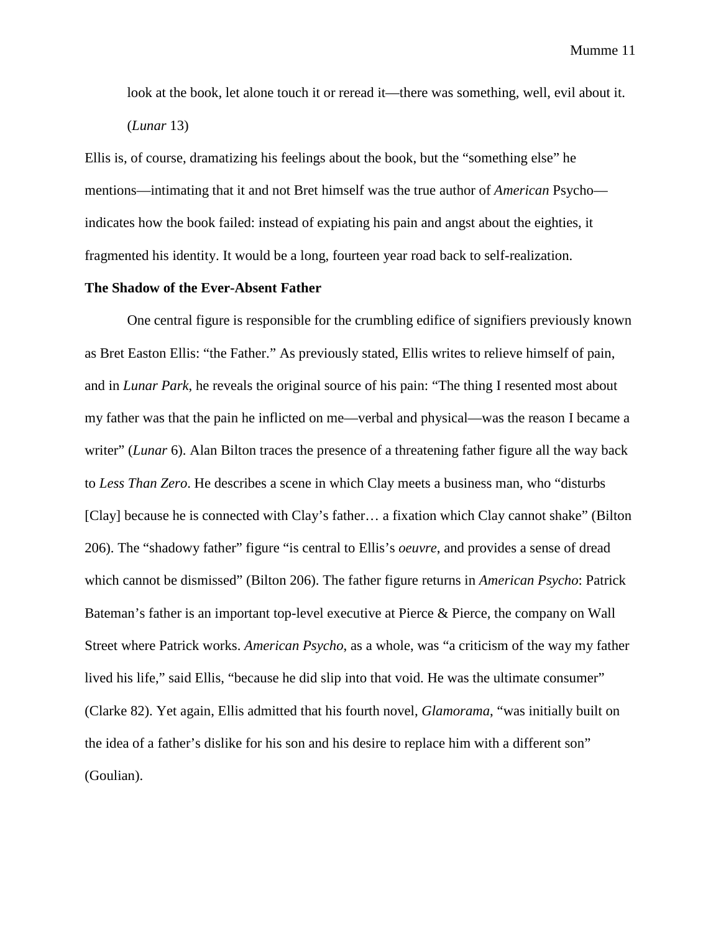look at the book, let alone touch it or reread it—there was something, well, evil about it. (*Lunar* 13)

Ellis is, of course, dramatizing his feelings about the book, but the "something else" he mentions—intimating that it and not Bret himself was the true author of *American* Psycho indicates how the book failed: instead of expiating his pain and angst about the eighties, it fragmented his identity. It would be a long, fourteen year road back to self-realization.

# **The Shadow of the Ever-Absent Father**

One central figure is responsible for the crumbling edifice of signifiers previously known as Bret Easton Ellis: "the Father." As previously stated, Ellis writes to relieve himself of pain, and in *Lunar Park*, he reveals the original source of his pain: "The thing I resented most about my father was that the pain he inflicted on me—verbal and physical—was the reason I became a writer" (*Lunar* 6). Alan Bilton traces the presence of a threatening father figure all the way back to *Less Than Zero*. He describes a scene in which Clay meets a business man, who "disturbs [Clay] because he is connected with Clay's father… a fixation which Clay cannot shake" (Bilton 206). The "shadowy father" figure "is central to Ellis's *oeuvre*, and provides a sense of dread which cannot be dismissed" (Bilton 206). The father figure returns in *American Psycho*: Patrick Bateman's father is an important top-level executive at Pierce & Pierce, the company on Wall Street where Patrick works. *American Psycho*, as a whole, was "a criticism of the way my father lived his life," said Ellis, "because he did slip into that void. He was the ultimate consumer" (Clarke 82). Yet again, Ellis admitted that his fourth novel, *Glamorama*, "was initially built on the idea of a father's dislike for his son and his desire to replace him with a different son" (Goulian).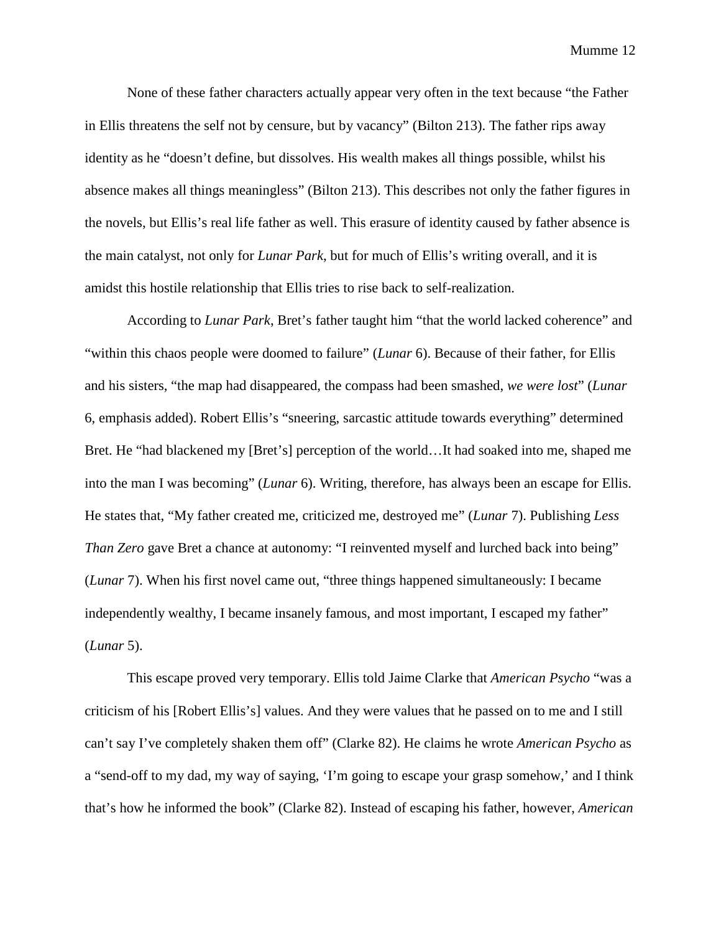None of these father characters actually appear very often in the text because "the Father in Ellis threatens the self not by censure, but by vacancy" (Bilton 213). The father rips away identity as he "doesn't define, but dissolves. His wealth makes all things possible, whilst his absence makes all things meaningless" (Bilton 213). This describes not only the father figures in the novels, but Ellis's real life father as well. This erasure of identity caused by father absence is the main catalyst, not only for *Lunar Park*, but for much of Ellis's writing overall, and it is amidst this hostile relationship that Ellis tries to rise back to self-realization.

According to *Lunar Park*, Bret's father taught him "that the world lacked coherence" and "within this chaos people were doomed to failure" (*Lunar* 6). Because of their father, for Ellis and his sisters, "the map had disappeared, the compass had been smashed, *we were lost*" (*Lunar*  6, emphasis added). Robert Ellis's "sneering, sarcastic attitude towards everything" determined Bret. He "had blackened my [Bret's] perception of the world…It had soaked into me, shaped me into the man I was becoming" (*Lunar* 6). Writing, therefore, has always been an escape for Ellis. He states that, "My father created me, criticized me, destroyed me" (*Lunar* 7). Publishing *Less Than Zero* gave Bret a chance at autonomy: "I reinvented myself and lurched back into being" (*Lunar* 7). When his first novel came out, "three things happened simultaneously: I became independently wealthy, I became insanely famous, and most important, I escaped my father" (*Lunar* 5).

This escape proved very temporary. Ellis told Jaime Clarke that *American Psycho* "was a criticism of his [Robert Ellis's] values. And they were values that he passed on to me and I still can't say I've completely shaken them off" (Clarke 82). He claims he wrote *American Psycho* as a "send-off to my dad, my way of saying, 'I'm going to escape your grasp somehow,' and I think that's how he informed the book" (Clarke 82). Instead of escaping his father, however, *American*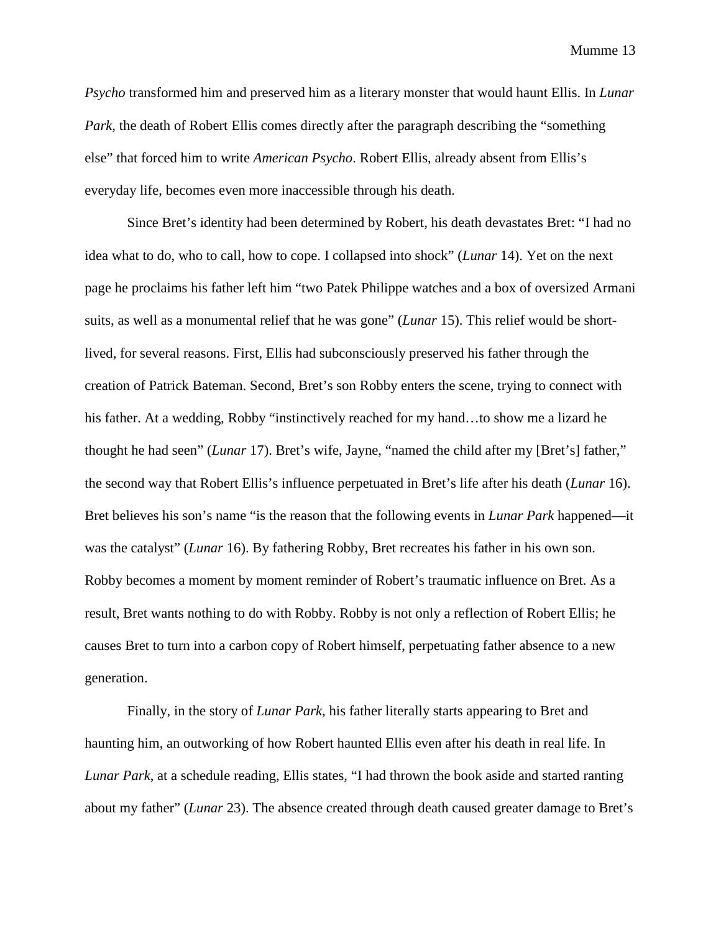*Psycho* transformed him and preserved him as a literary monster that would haunt Ellis. In *Lunar Park*, the death of Robert Ellis comes directly after the paragraph describing the "something" else" that forced him to write *American Psycho*. Robert Ellis, already absent from Ellis's everyday life, becomes even more inaccessible through his death.

Since Bret's identity had been determined by Robert, his death devastates Bret: "I had no idea what to do, who to call, how to cope. I collapsed into shock" (*Lunar* 14). Yet on the next page he proclaims his father left him "two Patek Philippe watches and a box of oversized Armani suits, as well as a monumental relief that he was gone" (*Lunar* 15). This relief would be shortlived, for several reasons. First, Ellis had subconsciously preserved his father through the creation of Patrick Bateman. Second, Bret's son Robby enters the scene, trying to connect with his father. At a wedding, Robby "instinctively reached for my hand...to show me a lizard he thought he had seen" (*Lunar* 17). Bret's wife, Jayne, "named the child after my [Bret's] father," the second way that Robert Ellis's influence perpetuated in Bret's life after his death (*Lunar* 16). Bret believes his son's name "is the reason that the following events in *Lunar Park* happened—it was the catalyst" (*Lunar* 16). By fathering Robby, Bret recreates his father in his own son. Robby becomes a moment by moment reminder of Robert's traumatic influence on Bret. As a result, Bret wants nothing to do with Robby. Robby is not only a reflection of Robert Ellis; he causes Bret to turn into a carbon copy of Robert himself, perpetuating father absence to a new generation.

Finally, in the story of *Lunar Park*, his father literally starts appearing to Bret and haunting him, an outworking of how Robert haunted Ellis even after his death in real life. In *Lunar Park*, at a schedule reading, Ellis states, "I had thrown the book aside and started ranting about my father" (*Lunar* 23). The absence created through death caused greater damage to Bret's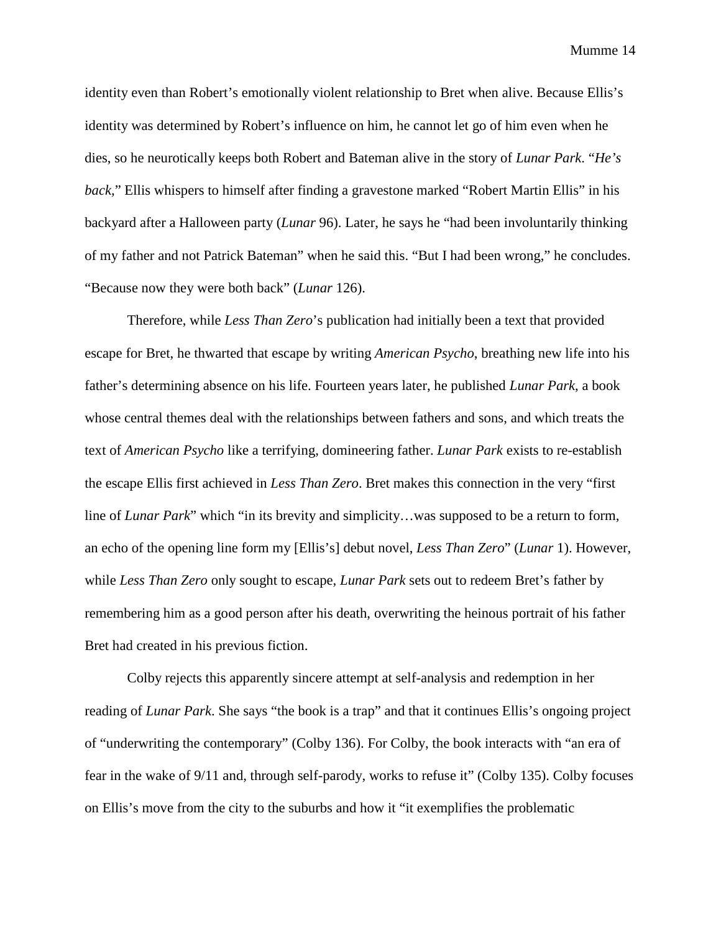identity even than Robert's emotionally violent relationship to Bret when alive. Because Ellis's identity was determined by Robert's influence on him, he cannot let go of him even when he dies, so he neurotically keeps both Robert and Bateman alive in the story of *Lunar Park*. "*He's back,*" Ellis whispers to himself after finding a gravestone marked "Robert Martin Ellis" in his backyard after a Halloween party (*Lunar* 96). Later, he says he "had been involuntarily thinking of my father and not Patrick Bateman" when he said this. "But I had been wrong," he concludes. "Because now they were both back" (*Lunar* 126).

Therefore, while *Less Than Zero*'s publication had initially been a text that provided escape for Bret, he thwarted that escape by writing *American Psycho*, breathing new life into his father's determining absence on his life. Fourteen years later, he published *Lunar Park*, a book whose central themes deal with the relationships between fathers and sons, and which treats the text of *American Psycho* like a terrifying, domineering father. *Lunar Park* exists to re-establish the escape Ellis first achieved in *Less Than Zero*. Bret makes this connection in the very "first line of *Lunar Park*" which "in its brevity and simplicity…was supposed to be a return to form, an echo of the opening line form my [Ellis's] debut novel, *Less Than Zero*" (*Lunar* 1). However, while *Less Than Zero* only sought to escape, *Lunar Park* sets out to redeem Bret's father by remembering him as a good person after his death, overwriting the heinous portrait of his father Bret had created in his previous fiction.

Colby rejects this apparently sincere attempt at self-analysis and redemption in her reading of *Lunar Park*. She says "the book is a trap" and that it continues Ellis's ongoing project of "underwriting the contemporary" (Colby 136). For Colby, the book interacts with "an era of fear in the wake of 9/11 and, through self-parody, works to refuse it" (Colby 135). Colby focuses on Ellis's move from the city to the suburbs and how it "it exemplifies the problematic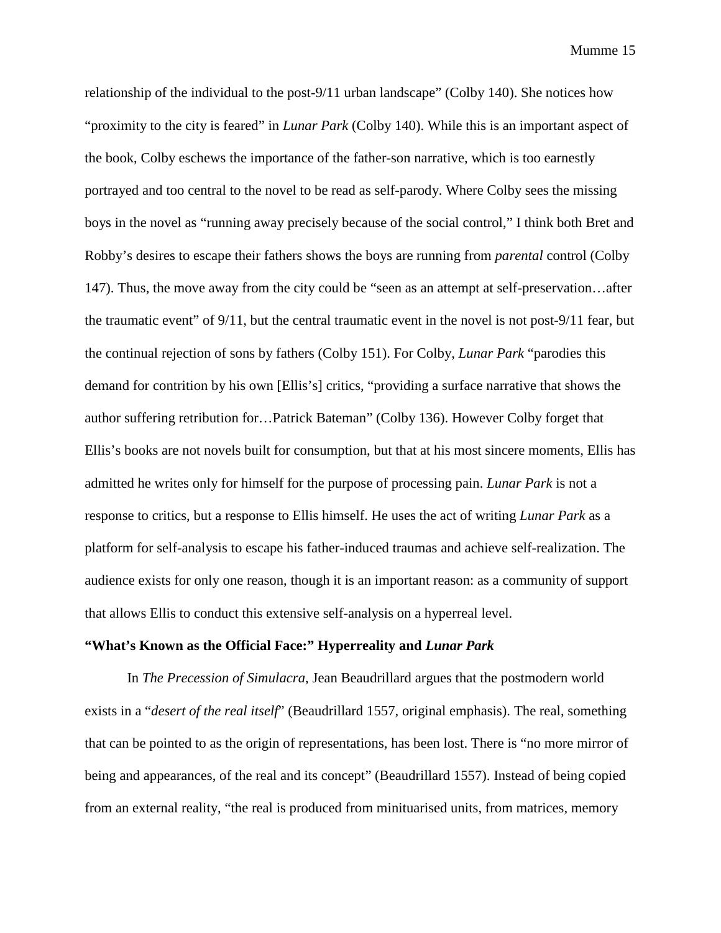relationship of the individual to the post-9/11 urban landscape" (Colby 140). She notices how "proximity to the city is feared" in *Lunar Park* (Colby 140). While this is an important aspect of the book, Colby eschews the importance of the father-son narrative, which is too earnestly portrayed and too central to the novel to be read as self-parody. Where Colby sees the missing boys in the novel as "running away precisely because of the social control," I think both Bret and Robby's desires to escape their fathers shows the boys are running from *parental* control (Colby 147). Thus, the move away from the city could be "seen as an attempt at self-preservation…after the traumatic event" of 9/11, but the central traumatic event in the novel is not post-9/11 fear, but the continual rejection of sons by fathers (Colby 151). For Colby, *Lunar Park* "parodies this demand for contrition by his own [Ellis's] critics, "providing a surface narrative that shows the author suffering retribution for…Patrick Bateman" (Colby 136). However Colby forget that Ellis's books are not novels built for consumption, but that at his most sincere moments, Ellis has admitted he writes only for himself for the purpose of processing pain. *Lunar Park* is not a response to critics, but a response to Ellis himself. He uses the act of writing *Lunar Park* as a platform for self-analysis to escape his father-induced traumas and achieve self-realization. The audience exists for only one reason, though it is an important reason: as a community of support that allows Ellis to conduct this extensive self-analysis on a hyperreal level.

## **"What's Known as the Official Face:" Hyperreality and** *Lunar Park*

In *The Precession of Simulacra*, Jean Beaudrillard argues that the postmodern world exists in a "*desert of the real itself*" (Beaudrillard 1557, original emphasis). The real, something that can be pointed to as the origin of representations, has been lost. There is "no more mirror of being and appearances, of the real and its concept" (Beaudrillard 1557). Instead of being copied from an external reality, "the real is produced from minituarised units, from matrices, memory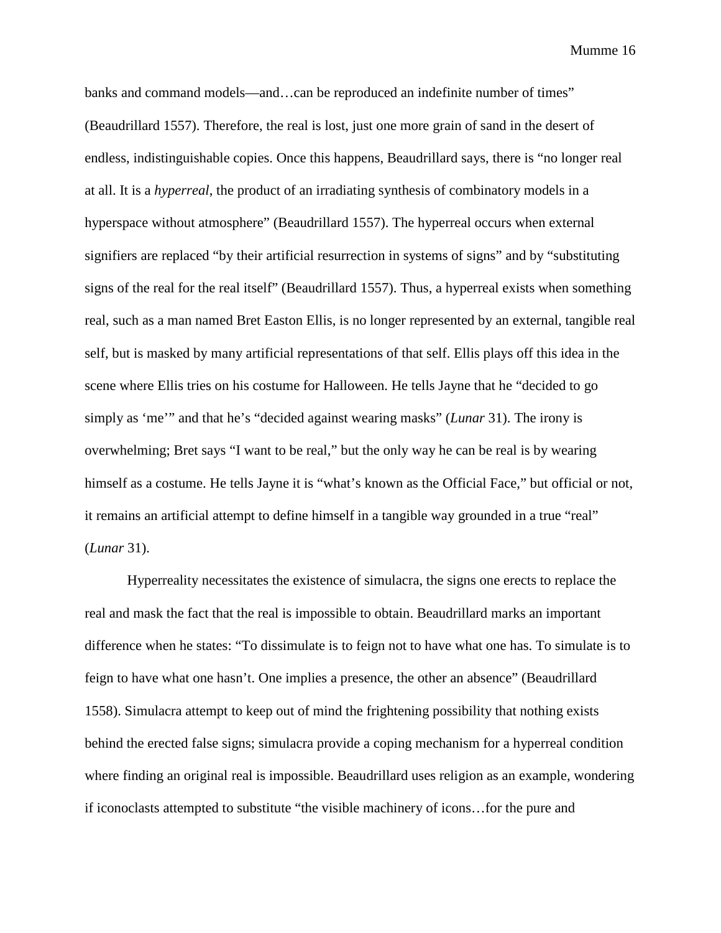banks and command models—and…can be reproduced an indefinite number of times" (Beaudrillard 1557). Therefore, the real is lost, just one more grain of sand in the desert of endless, indistinguishable copies. Once this happens, Beaudrillard says, there is "no longer real at all. It is a *hyperreal*, the product of an irradiating synthesis of combinatory models in a hyperspace without atmosphere" (Beaudrillard 1557). The hyperreal occurs when external signifiers are replaced "by their artificial resurrection in systems of signs" and by "substituting signs of the real for the real itself" (Beaudrillard 1557). Thus, a hyperreal exists when something real, such as a man named Bret Easton Ellis, is no longer represented by an external, tangible real self, but is masked by many artificial representations of that self. Ellis plays off this idea in the scene where Ellis tries on his costume for Halloween. He tells Jayne that he "decided to go simply as 'me'" and that he's "decided against wearing masks" (*Lunar* 31). The irony is overwhelming; Bret says "I want to be real," but the only way he can be real is by wearing himself as a costume. He tells Jayne it is "what's known as the Official Face," but official or not, it remains an artificial attempt to define himself in a tangible way grounded in a true "real" (*Lunar* 31).

Hyperreality necessitates the existence of simulacra, the signs one erects to replace the real and mask the fact that the real is impossible to obtain. Beaudrillard marks an important difference when he states: "To dissimulate is to feign not to have what one has. To simulate is to feign to have what one hasn't. One implies a presence, the other an absence" (Beaudrillard 1558). Simulacra attempt to keep out of mind the frightening possibility that nothing exists behind the erected false signs; simulacra provide a coping mechanism for a hyperreal condition where finding an original real is impossible. Beaudrillard uses religion as an example, wondering if iconoclasts attempted to substitute "the visible machinery of icons…for the pure and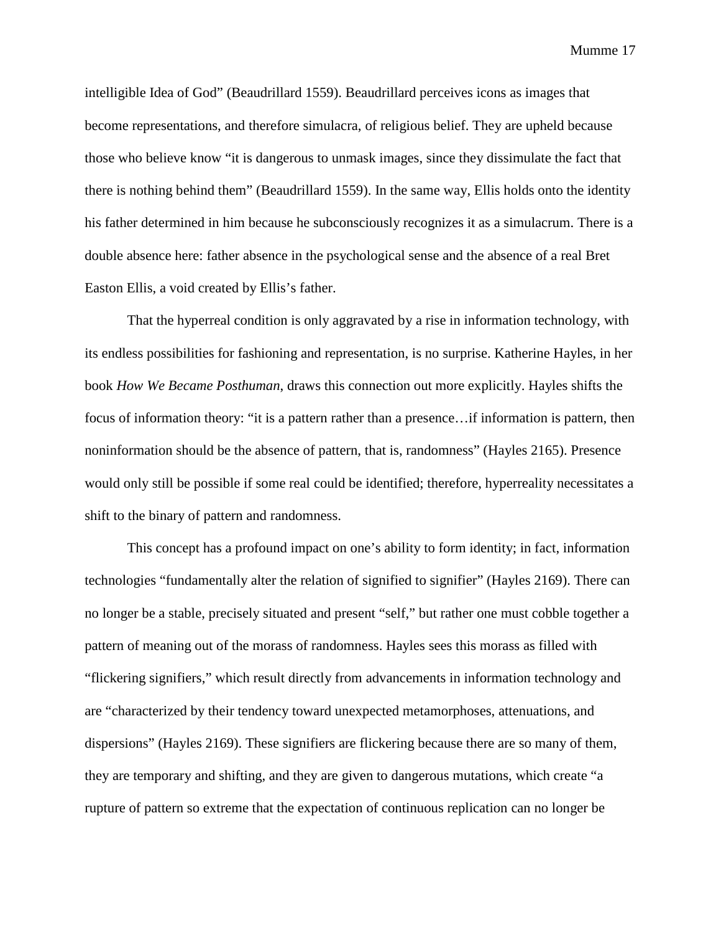intelligible Idea of God" (Beaudrillard 1559). Beaudrillard perceives icons as images that become representations, and therefore simulacra, of religious belief. They are upheld because those who believe know "it is dangerous to unmask images, since they dissimulate the fact that there is nothing behind them" (Beaudrillard 1559). In the same way, Ellis holds onto the identity his father determined in him because he subconsciously recognizes it as a simulacrum. There is a double absence here: father absence in the psychological sense and the absence of a real Bret Easton Ellis, a void created by Ellis's father.

That the hyperreal condition is only aggravated by a rise in information technology, with its endless possibilities for fashioning and representation, is no surprise. Katherine Hayles, in her book *How We Became Posthuman*, draws this connection out more explicitly. Hayles shifts the focus of information theory: "it is a pattern rather than a presence... if information is pattern, then noninformation should be the absence of pattern, that is, randomness" (Hayles 2165). Presence would only still be possible if some real could be identified; therefore, hyperreality necessitates a shift to the binary of pattern and randomness.

This concept has a profound impact on one's ability to form identity; in fact, information technologies "fundamentally alter the relation of signified to signifier" (Hayles 2169). There can no longer be a stable, precisely situated and present "self," but rather one must cobble together a pattern of meaning out of the morass of randomness. Hayles sees this morass as filled with "flickering signifiers," which result directly from advancements in information technology and are "characterized by their tendency toward unexpected metamorphoses, attenuations, and dispersions" (Hayles 2169). These signifiers are flickering because there are so many of them, they are temporary and shifting, and they are given to dangerous mutations, which create "a rupture of pattern so extreme that the expectation of continuous replication can no longer be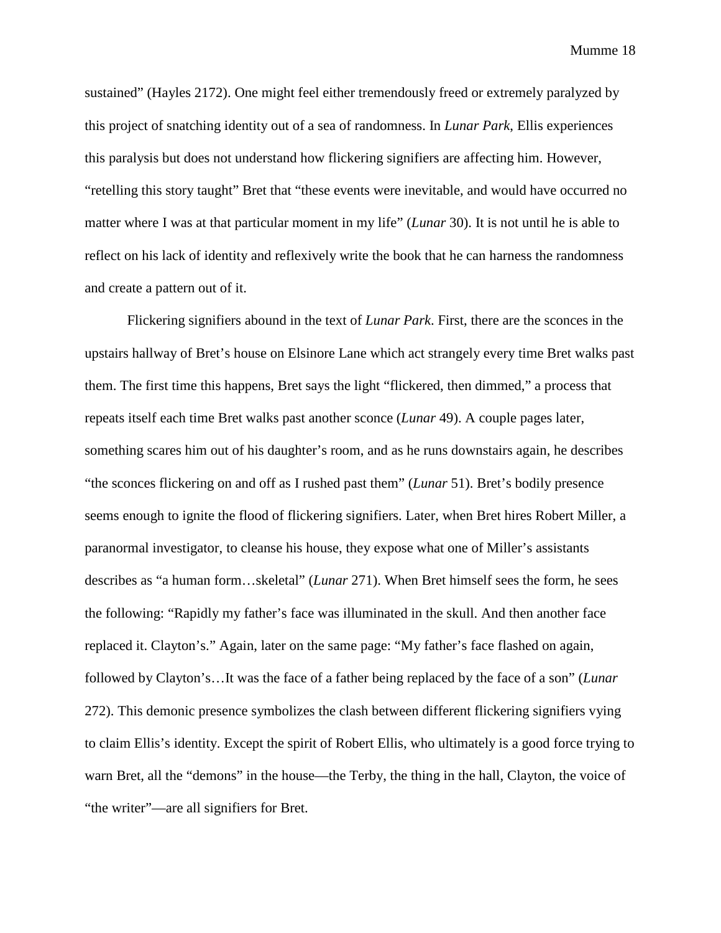sustained" (Hayles 2172). One might feel either tremendously freed or extremely paralyzed by this project of snatching identity out of a sea of randomness. In *Lunar Park*, Ellis experiences this paralysis but does not understand how flickering signifiers are affecting him. However, "retelling this story taught" Bret that "these events were inevitable, and would have occurred no matter where I was at that particular moment in my life" (*Lunar* 30). It is not until he is able to reflect on his lack of identity and reflexively write the book that he can harness the randomness and create a pattern out of it.

Flickering signifiers abound in the text of *Lunar Park*. First, there are the sconces in the upstairs hallway of Bret's house on Elsinore Lane which act strangely every time Bret walks past them. The first time this happens, Bret says the light "flickered, then dimmed," a process that repeats itself each time Bret walks past another sconce (*Lunar* 49). A couple pages later, something scares him out of his daughter's room, and as he runs downstairs again, he describes "the sconces flickering on and off as I rushed past them" (*Lunar* 51). Bret's bodily presence seems enough to ignite the flood of flickering signifiers. Later, when Bret hires Robert Miller, a paranormal investigator, to cleanse his house, they expose what one of Miller's assistants describes as "a human form…skeletal" (*Lunar* 271). When Bret himself sees the form, he sees the following: "Rapidly my father's face was illuminated in the skull. And then another face replaced it. Clayton's." Again, later on the same page: "My father's face flashed on again, followed by Clayton's…It was the face of a father being replaced by the face of a son" (*Lunar* 272). This demonic presence symbolizes the clash between different flickering signifiers vying to claim Ellis's identity. Except the spirit of Robert Ellis, who ultimately is a good force trying to warn Bret, all the "demons" in the house—the Terby, the thing in the hall, Clayton, the voice of "the writer"—are all signifiers for Bret.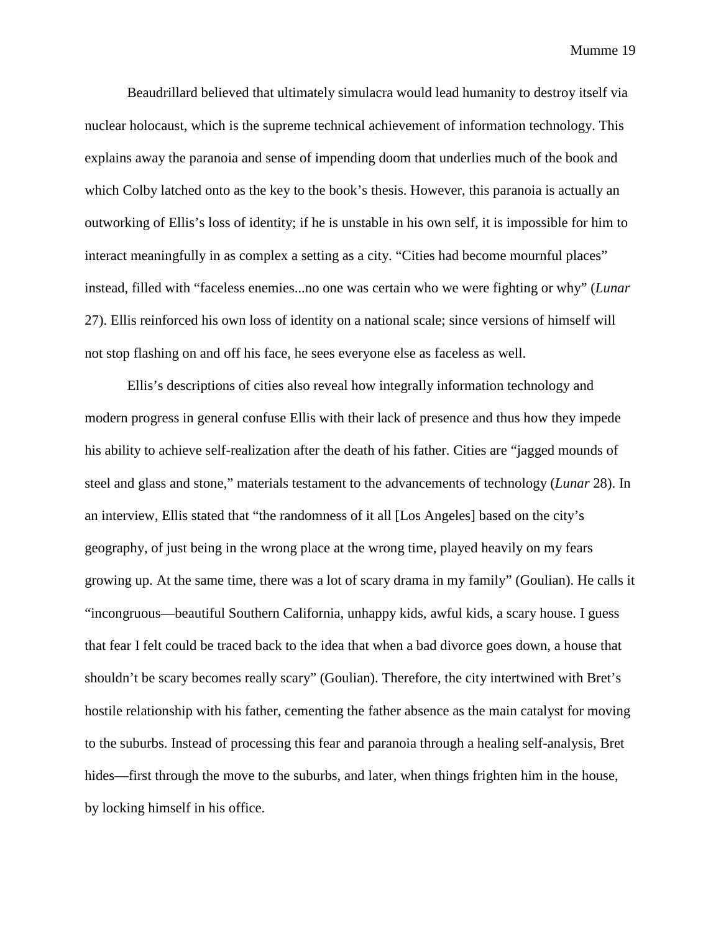Beaudrillard believed that ultimately simulacra would lead humanity to destroy itself via nuclear holocaust, which is the supreme technical achievement of information technology. This explains away the paranoia and sense of impending doom that underlies much of the book and which Colby latched onto as the key to the book's thesis. However, this paranoia is actually an outworking of Ellis's loss of identity; if he is unstable in his own self, it is impossible for him to interact meaningfully in as complex a setting as a city. "Cities had become mournful places" instead, filled with "faceless enemies...no one was certain who we were fighting or why" (*Lunar* 27). Ellis reinforced his own loss of identity on a national scale; since versions of himself will not stop flashing on and off his face, he sees everyone else as faceless as well.

Ellis's descriptions of cities also reveal how integrally information technology and modern progress in general confuse Ellis with their lack of presence and thus how they impede his ability to achieve self-realization after the death of his father. Cities are "jagged mounds of steel and glass and stone," materials testament to the advancements of technology (*Lunar* 28). In an interview, Ellis stated that "the randomness of it all [Los Angeles] based on the city's geography, of just being in the wrong place at the wrong time, played heavily on my fears growing up. At the same time, there was a lot of scary drama in my family" (Goulian). He calls it "incongruous—beautiful Southern California, unhappy kids, awful kids, a scary house. I guess that fear I felt could be traced back to the idea that when a bad divorce goes down, a house that shouldn't be scary becomes really scary" (Goulian). Therefore, the city intertwined with Bret's hostile relationship with his father, cementing the father absence as the main catalyst for moving to the suburbs. Instead of processing this fear and paranoia through a healing self-analysis, Bret hides—first through the move to the suburbs, and later, when things frighten him in the house, by locking himself in his office.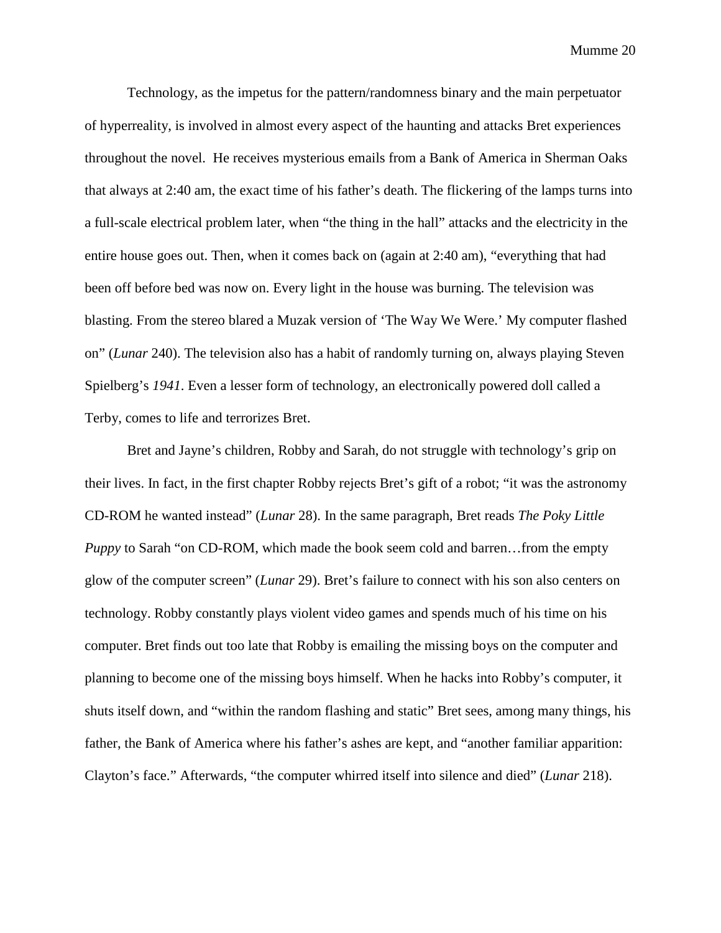Technology, as the impetus for the pattern/randomness binary and the main perpetuator of hyperreality, is involved in almost every aspect of the haunting and attacks Bret experiences throughout the novel. He receives mysterious emails from a Bank of America in Sherman Oaks that always at 2:40 am, the exact time of his father's death. The flickering of the lamps turns into a full-scale electrical problem later, when "the thing in the hall" attacks and the electricity in the entire house goes out. Then, when it comes back on (again at 2:40 am), "everything that had been off before bed was now on. Every light in the house was burning. The television was blasting. From the stereo blared a Muzak version of 'The Way We Were.' My computer flashed on" (*Lunar* 240). The television also has a habit of randomly turning on, always playing Steven Spielberg's *1941*. Even a lesser form of technology, an electronically powered doll called a Terby, comes to life and terrorizes Bret.

Bret and Jayne's children, Robby and Sarah, do not struggle with technology's grip on their lives. In fact, in the first chapter Robby rejects Bret's gift of a robot; "it was the astronomy CD-ROM he wanted instead" (*Lunar* 28). In the same paragraph, Bret reads *The Poky Little Puppy* to Sarah "on CD-ROM, which made the book seem cold and barren…from the empty glow of the computer screen" (*Lunar* 29). Bret's failure to connect with his son also centers on technology. Robby constantly plays violent video games and spends much of his time on his computer. Bret finds out too late that Robby is emailing the missing boys on the computer and planning to become one of the missing boys himself. When he hacks into Robby's computer, it shuts itself down, and "within the random flashing and static" Bret sees, among many things, his father, the Bank of America where his father's ashes are kept, and "another familiar apparition: Clayton's face." Afterwards, "the computer whirred itself into silence and died" (*Lunar* 218).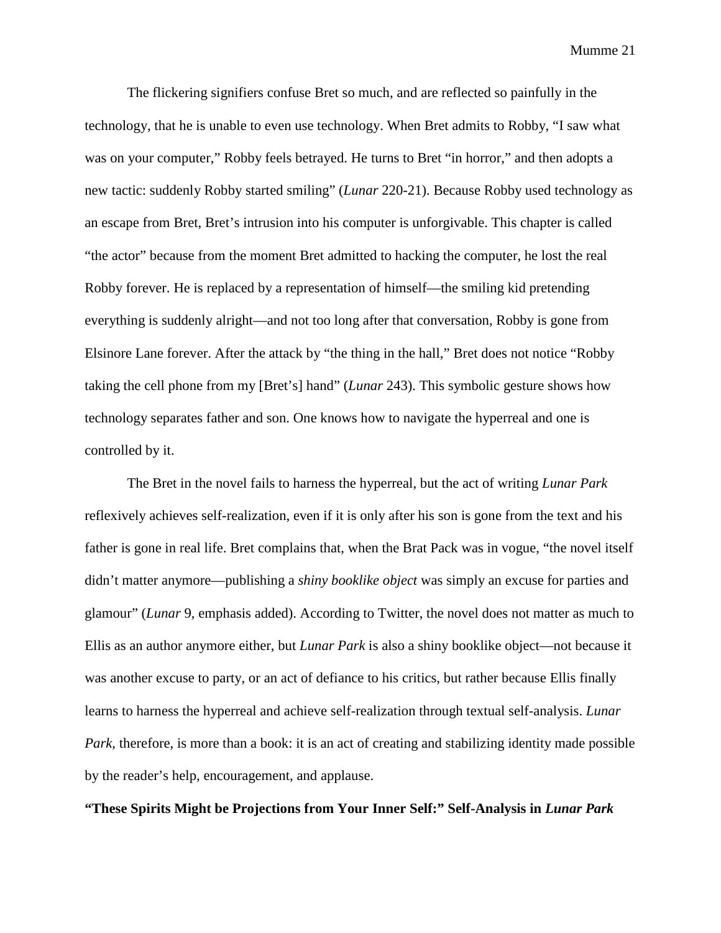The flickering signifiers confuse Bret so much, and are reflected so painfully in the technology, that he is unable to even use technology. When Bret admits to Robby, "I saw what was on your computer," Robby feels betrayed. He turns to Bret "in horror," and then adopts a new tactic: suddenly Robby started smiling" (*Lunar* 220-21). Because Robby used technology as an escape from Bret, Bret's intrusion into his computer is unforgivable. This chapter is called "the actor" because from the moment Bret admitted to hacking the computer, he lost the real Robby forever. He is replaced by a representation of himself—the smiling kid pretending everything is suddenly alright—and not too long after that conversation, Robby is gone from Elsinore Lane forever. After the attack by "the thing in the hall," Bret does not notice "Robby taking the cell phone from my [Bret's] hand" (*Lunar* 243). This symbolic gesture shows how technology separates father and son. One knows how to navigate the hyperreal and one is controlled by it.

The Bret in the novel fails to harness the hyperreal, but the act of writing *Lunar Park*  reflexively achieves self-realization, even if it is only after his son is gone from the text and his father is gone in real life. Bret complains that, when the Brat Pack was in vogue, "the novel itself didn't matter anymore—publishing a *shiny booklike object* was simply an excuse for parties and glamour" (*Lunar* 9, emphasis added). According to Twitter, the novel does not matter as much to Ellis as an author anymore either, but *Lunar Park* is also a shiny booklike object—not because it was another excuse to party, or an act of defiance to his critics, but rather because Ellis finally learns to harness the hyperreal and achieve self-realization through textual self-analysis. *Lunar Park*, therefore, is more than a book: it is an act of creating and stabilizing identity made possible by the reader's help, encouragement, and applause.

**"These Spirits Might be Projections from Your Inner Self:" Self-Analysis in** *Lunar Park*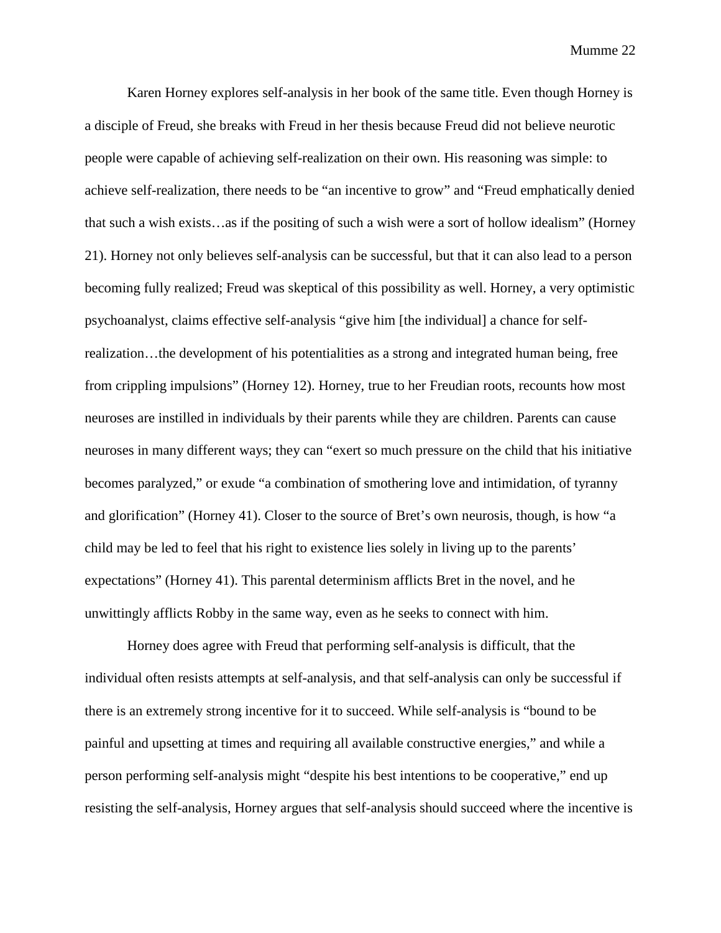Karen Horney explores self-analysis in her book of the same title. Even though Horney is a disciple of Freud, she breaks with Freud in her thesis because Freud did not believe neurotic people were capable of achieving self-realization on their own. His reasoning was simple: to achieve self-realization, there needs to be "an incentive to grow" and "Freud emphatically denied that such a wish exists…as if the positing of such a wish were a sort of hollow idealism" (Horney 21). Horney not only believes self-analysis can be successful, but that it can also lead to a person becoming fully realized; Freud was skeptical of this possibility as well. Horney, a very optimistic psychoanalyst, claims effective self-analysis "give him [the individual] a chance for selfrealization…the development of his potentialities as a strong and integrated human being, free from crippling impulsions" (Horney 12). Horney, true to her Freudian roots, recounts how most neuroses are instilled in individuals by their parents while they are children. Parents can cause neuroses in many different ways; they can "exert so much pressure on the child that his initiative becomes paralyzed," or exude "a combination of smothering love and intimidation, of tyranny and glorification" (Horney 41). Closer to the source of Bret's own neurosis, though, is how "a child may be led to feel that his right to existence lies solely in living up to the parents' expectations" (Horney 41). This parental determinism afflicts Bret in the novel, and he unwittingly afflicts Robby in the same way, even as he seeks to connect with him.

Horney does agree with Freud that performing self-analysis is difficult, that the individual often resists attempts at self-analysis, and that self-analysis can only be successful if there is an extremely strong incentive for it to succeed. While self-analysis is "bound to be painful and upsetting at times and requiring all available constructive energies," and while a person performing self-analysis might "despite his best intentions to be cooperative," end up resisting the self-analysis, Horney argues that self-analysis should succeed where the incentive is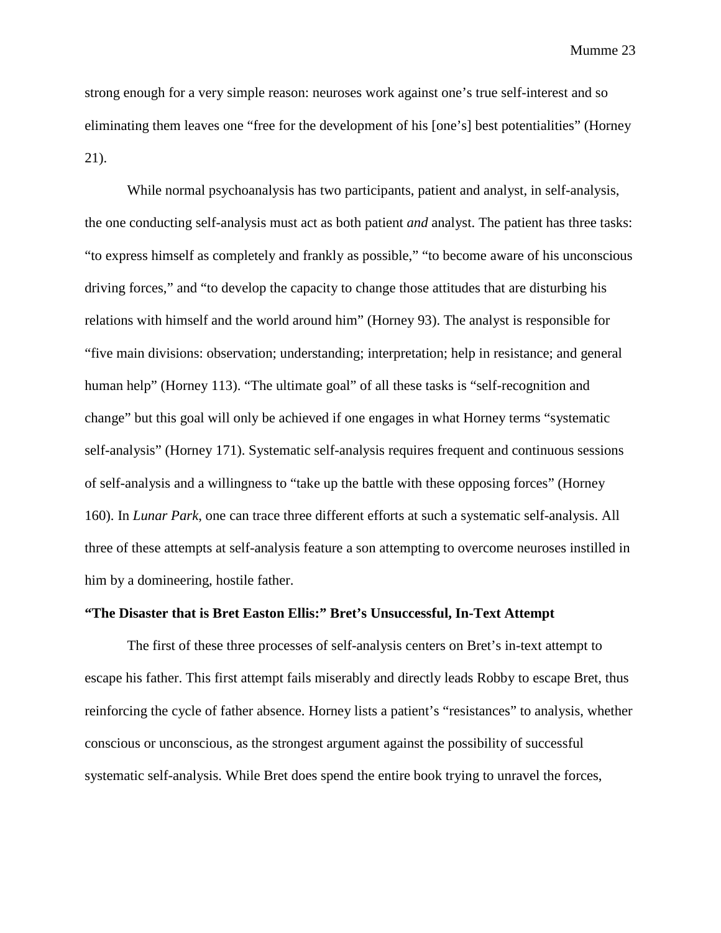strong enough for a very simple reason: neuroses work against one's true self-interest and so eliminating them leaves one "free for the development of his [one's] best potentialities" (Horney 21).

While normal psychoanalysis has two participants, patient and analyst, in self-analysis, the one conducting self-analysis must act as both patient *and* analyst. The patient has three tasks: "to express himself as completely and frankly as possible," "to become aware of his unconscious driving forces," and "to develop the capacity to change those attitudes that are disturbing his relations with himself and the world around him" (Horney 93). The analyst is responsible for "five main divisions: observation; understanding; interpretation; help in resistance; and general human help" (Horney 113). "The ultimate goal" of all these tasks is "self-recognition and change" but this goal will only be achieved if one engages in what Horney terms "systematic self-analysis" (Horney 171). Systematic self-analysis requires frequent and continuous sessions of self-analysis and a willingness to "take up the battle with these opposing forces" (Horney 160). In *Lunar Park*, one can trace three different efforts at such a systematic self-analysis. All three of these attempts at self-analysis feature a son attempting to overcome neuroses instilled in him by a domineering, hostile father.

### **"The Disaster that is Bret Easton Ellis:" Bret's Unsuccessful, In-Text Attempt**

The first of these three processes of self-analysis centers on Bret's in-text attempt to escape his father. This first attempt fails miserably and directly leads Robby to escape Bret, thus reinforcing the cycle of father absence. Horney lists a patient's "resistances" to analysis, whether conscious or unconscious, as the strongest argument against the possibility of successful systematic self-analysis. While Bret does spend the entire book trying to unravel the forces,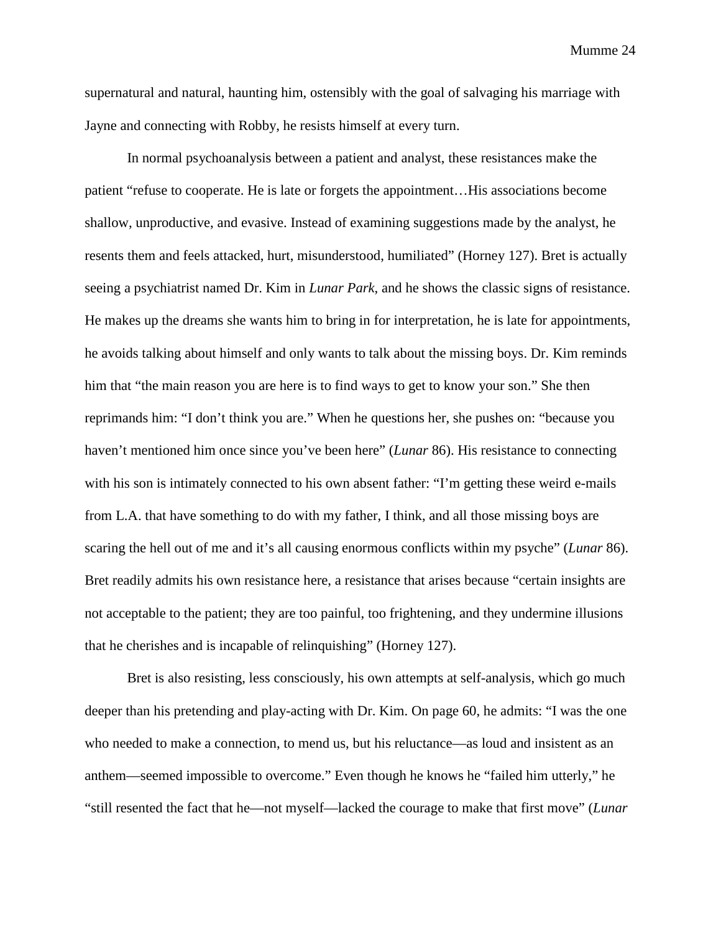supernatural and natural, haunting him, ostensibly with the goal of salvaging his marriage with Jayne and connecting with Robby, he resists himself at every turn.

In normal psychoanalysis between a patient and analyst, these resistances make the patient "refuse to cooperate. He is late or forgets the appointment…His associations become shallow, unproductive, and evasive. Instead of examining suggestions made by the analyst, he resents them and feels attacked, hurt, misunderstood, humiliated" (Horney 127). Bret is actually seeing a psychiatrist named Dr. Kim in *Lunar Park*, and he shows the classic signs of resistance. He makes up the dreams she wants him to bring in for interpretation, he is late for appointments, he avoids talking about himself and only wants to talk about the missing boys. Dr. Kim reminds him that "the main reason you are here is to find ways to get to know your son." She then reprimands him: "I don't think you are." When he questions her, she pushes on: "because you haven't mentioned him once since you've been here" (*Lunar* 86). His resistance to connecting with his son is intimately connected to his own absent father: "I'm getting these weird e-mails from L.A. that have something to do with my father, I think, and all those missing boys are scaring the hell out of me and it's all causing enormous conflicts within my psyche" (*Lunar* 86). Bret readily admits his own resistance here, a resistance that arises because "certain insights are not acceptable to the patient; they are too painful, too frightening, and they undermine illusions that he cherishes and is incapable of relinquishing" (Horney 127).

Bret is also resisting, less consciously, his own attempts at self-analysis, which go much deeper than his pretending and play-acting with Dr. Kim. On page 60, he admits: "I was the one who needed to make a connection, to mend us, but his reluctance—as loud and insistent as an anthem—seemed impossible to overcome." Even though he knows he "failed him utterly," he "still resented the fact that he—not myself—lacked the courage to make that first move" (*Lunar*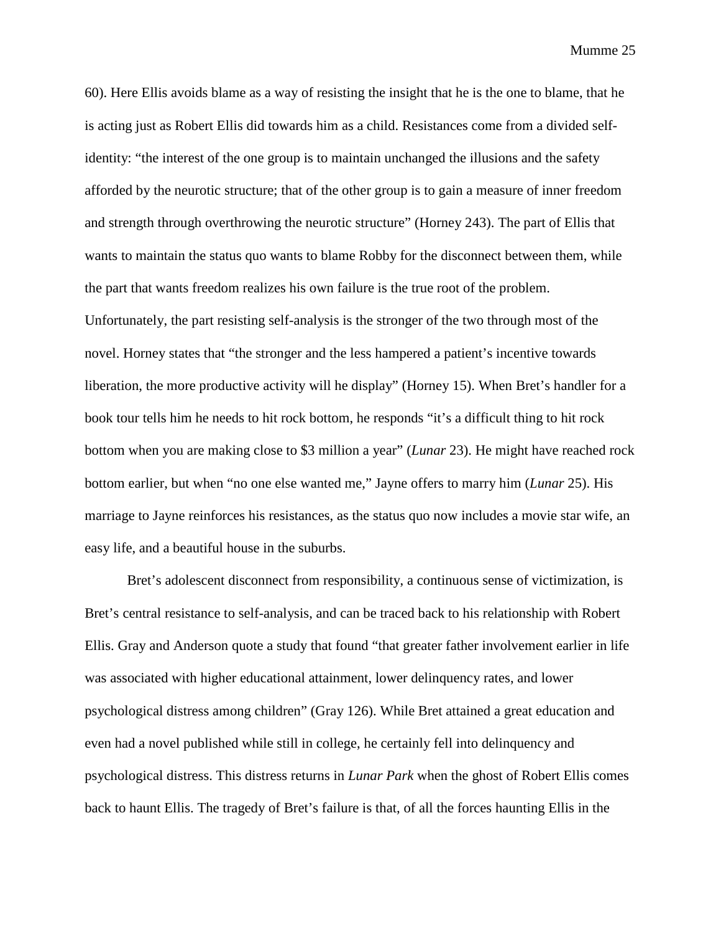60). Here Ellis avoids blame as a way of resisting the insight that he is the one to blame, that he is acting just as Robert Ellis did towards him as a child. Resistances come from a divided selfidentity: "the interest of the one group is to maintain unchanged the illusions and the safety afforded by the neurotic structure; that of the other group is to gain a measure of inner freedom and strength through overthrowing the neurotic structure" (Horney 243). The part of Ellis that wants to maintain the status quo wants to blame Robby for the disconnect between them, while the part that wants freedom realizes his own failure is the true root of the problem. Unfortunately, the part resisting self-analysis is the stronger of the two through most of the novel. Horney states that "the stronger and the less hampered a patient's incentive towards liberation, the more productive activity will he display" (Horney 15). When Bret's handler for a book tour tells him he needs to hit rock bottom, he responds "it's a difficult thing to hit rock bottom when you are making close to \$3 million a year" (*Lunar* 23). He might have reached rock bottom earlier, but when "no one else wanted me," Jayne offers to marry him (*Lunar* 25). His marriage to Jayne reinforces his resistances, as the status quo now includes a movie star wife, an easy life, and a beautiful house in the suburbs.

Bret's adolescent disconnect from responsibility, a continuous sense of victimization, is Bret's central resistance to self-analysis, and can be traced back to his relationship with Robert Ellis. Gray and Anderson quote a study that found "that greater father involvement earlier in life was associated with higher educational attainment, lower delinquency rates, and lower psychological distress among children" (Gray 126). While Bret attained a great education and even had a novel published while still in college, he certainly fell into delinquency and psychological distress. This distress returns in *Lunar Park* when the ghost of Robert Ellis comes back to haunt Ellis. The tragedy of Bret's failure is that, of all the forces haunting Ellis in the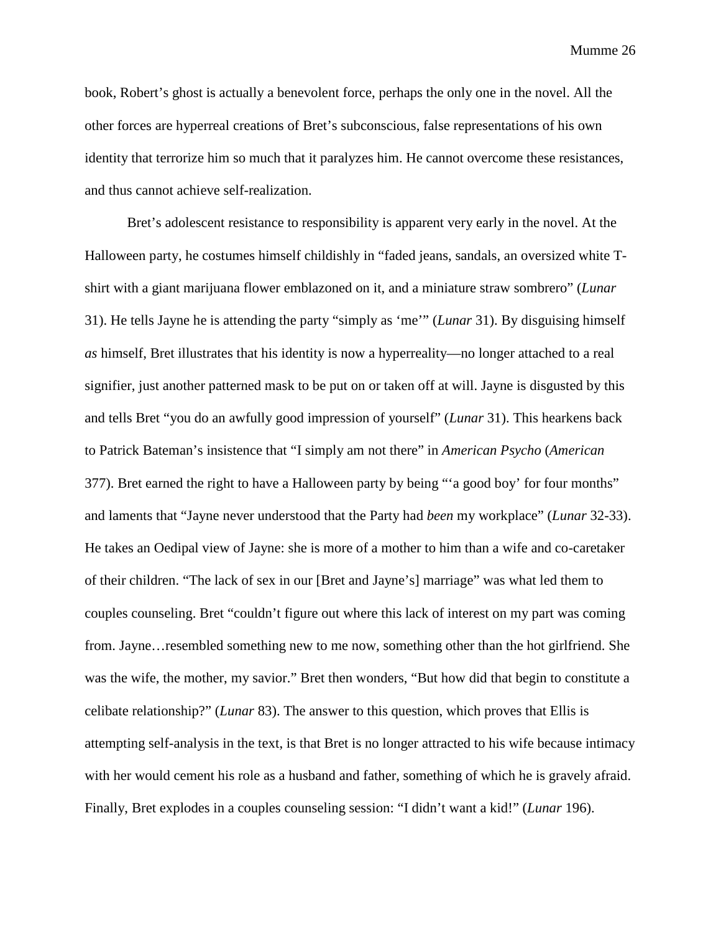book, Robert's ghost is actually a benevolent force, perhaps the only one in the novel. All the other forces are hyperreal creations of Bret's subconscious, false representations of his own identity that terrorize him so much that it paralyzes him. He cannot overcome these resistances, and thus cannot achieve self-realization.

Bret's adolescent resistance to responsibility is apparent very early in the novel. At the Halloween party, he costumes himself childishly in "faded jeans, sandals, an oversized white Tshirt with a giant marijuana flower emblazoned on it, and a miniature straw sombrero" (*Lunar*  31). He tells Jayne he is attending the party "simply as 'me'" (*Lunar* 31). By disguising himself *as* himself, Bret illustrates that his identity is now a hyperreality—no longer attached to a real signifier, just another patterned mask to be put on or taken off at will. Jayne is disgusted by this and tells Bret "you do an awfully good impression of yourself" (*Lunar* 31). This hearkens back to Patrick Bateman's insistence that "I simply am not there" in *American Psycho* (*American*  377). Bret earned the right to have a Halloween party by being "'a good boy' for four months" and laments that "Jayne never understood that the Party had *been* my workplace" (*Lunar* 32-33). He takes an Oedipal view of Jayne: she is more of a mother to him than a wife and co-caretaker of their children. "The lack of sex in our [Bret and Jayne's] marriage" was what led them to couples counseling. Bret "couldn't figure out where this lack of interest on my part was coming from. Jayne…resembled something new to me now, something other than the hot girlfriend. She was the wife, the mother, my savior." Bret then wonders, "But how did that begin to constitute a celibate relationship?" (*Lunar* 83). The answer to this question, which proves that Ellis is attempting self-analysis in the text, is that Bret is no longer attracted to his wife because intimacy with her would cement his role as a husband and father, something of which he is gravely afraid. Finally, Bret explodes in a couples counseling session: "I didn't want a kid!" (*Lunar* 196).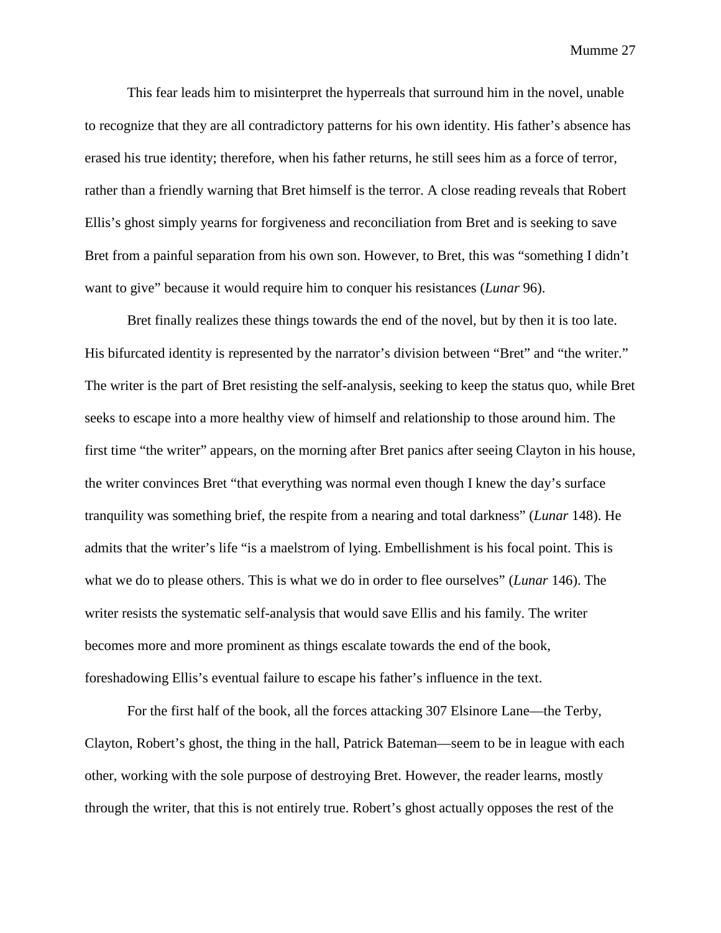This fear leads him to misinterpret the hyperreals that surround him in the novel, unable to recognize that they are all contradictory patterns for his own identity. His father's absence has erased his true identity; therefore, when his father returns, he still sees him as a force of terror, rather than a friendly warning that Bret himself is the terror. A close reading reveals that Robert Ellis's ghost simply yearns for forgiveness and reconciliation from Bret and is seeking to save Bret from a painful separation from his own son. However, to Bret, this was "something I didn't want to give" because it would require him to conquer his resistances (*Lunar* 96).

Bret finally realizes these things towards the end of the novel, but by then it is too late. His bifurcated identity is represented by the narrator's division between "Bret" and "the writer." The writer is the part of Bret resisting the self-analysis, seeking to keep the status quo, while Bret seeks to escape into a more healthy view of himself and relationship to those around him. The first time "the writer" appears, on the morning after Bret panics after seeing Clayton in his house, the writer convinces Bret "that everything was normal even though I knew the day's surface tranquility was something brief, the respite from a nearing and total darkness" (*Lunar* 148). He admits that the writer's life "is a maelstrom of lying. Embellishment is his focal point. This is what we do to please others. This is what we do in order to flee ourselves" (*Lunar* 146). The writer resists the systematic self-analysis that would save Ellis and his family. The writer becomes more and more prominent as things escalate towards the end of the book, foreshadowing Ellis's eventual failure to escape his father's influence in the text.

For the first half of the book, all the forces attacking 307 Elsinore Lane—the Terby, Clayton, Robert's ghost, the thing in the hall, Patrick Bateman—seem to be in league with each other, working with the sole purpose of destroying Bret. However, the reader learns, mostly through the writer, that this is not entirely true. Robert's ghost actually opposes the rest of the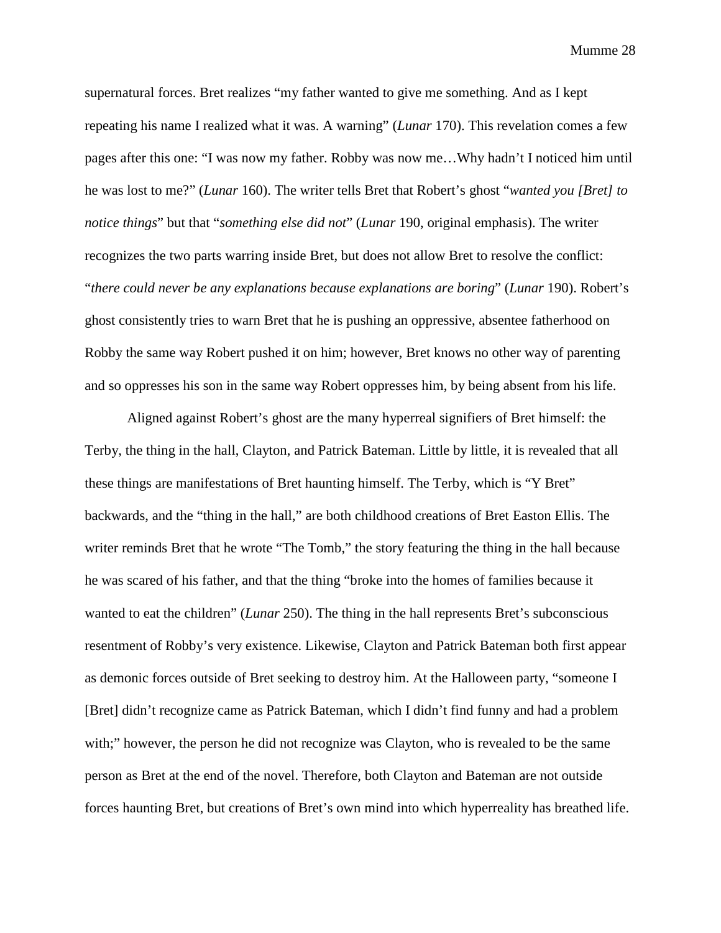supernatural forces. Bret realizes "my father wanted to give me something. And as I kept repeating his name I realized what it was. A warning" (*Lunar* 170). This revelation comes a few pages after this one: "I was now my father. Robby was now me…Why hadn't I noticed him until he was lost to me?" (*Lunar* 160). The writer tells Bret that Robert's ghost "*wanted you [Bret] to notice things*" but that "*something else did not*" (*Lunar* 190, original emphasis). The writer recognizes the two parts warring inside Bret, but does not allow Bret to resolve the conflict: "*there could never be any explanations because explanations are boring*" (*Lunar* 190). Robert's ghost consistently tries to warn Bret that he is pushing an oppressive, absentee fatherhood on Robby the same way Robert pushed it on him; however, Bret knows no other way of parenting and so oppresses his son in the same way Robert oppresses him, by being absent from his life.

Aligned against Robert's ghost are the many hyperreal signifiers of Bret himself: the Terby, the thing in the hall, Clayton, and Patrick Bateman. Little by little, it is revealed that all these things are manifestations of Bret haunting himself. The Terby, which is "Y Bret" backwards, and the "thing in the hall," are both childhood creations of Bret Easton Ellis. The writer reminds Bret that he wrote "The Tomb," the story featuring the thing in the hall because he was scared of his father, and that the thing "broke into the homes of families because it wanted to eat the children" (*Lunar* 250). The thing in the hall represents Bret's subconscious resentment of Robby's very existence. Likewise, Clayton and Patrick Bateman both first appear as demonic forces outside of Bret seeking to destroy him. At the Halloween party, "someone I [Bret] didn't recognize came as Patrick Bateman, which I didn't find funny and had a problem with;" however, the person he did not recognize was Clayton, who is revealed to be the same person as Bret at the end of the novel. Therefore, both Clayton and Bateman are not outside forces haunting Bret, but creations of Bret's own mind into which hyperreality has breathed life.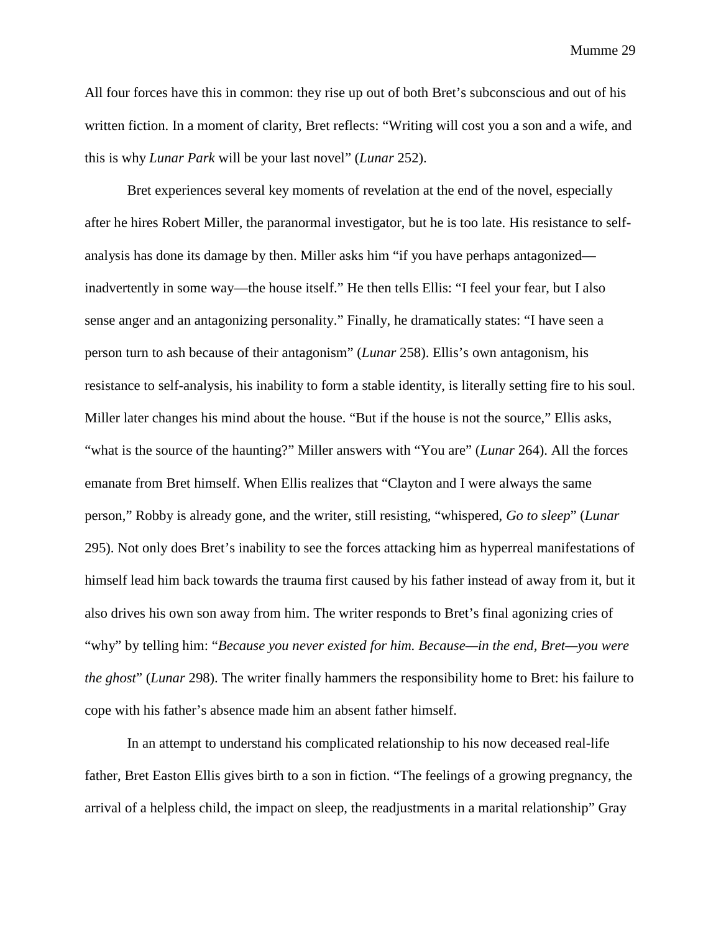All four forces have this in common: they rise up out of both Bret's subconscious and out of his written fiction. In a moment of clarity, Bret reflects: "Writing will cost you a son and a wife, and this is why *Lunar Park* will be your last novel" (*Lunar* 252).

Bret experiences several key moments of revelation at the end of the novel, especially after he hires Robert Miller, the paranormal investigator, but he is too late. His resistance to selfanalysis has done its damage by then. Miller asks him "if you have perhaps antagonized inadvertently in some way—the house itself." He then tells Ellis: "I feel your fear, but I also sense anger and an antagonizing personality." Finally, he dramatically states: "I have seen a person turn to ash because of their antagonism" (*Lunar* 258). Ellis's own antagonism, his resistance to self-analysis, his inability to form a stable identity, is literally setting fire to his soul. Miller later changes his mind about the house. "But if the house is not the source," Ellis asks, "what is the source of the haunting?" Miller answers with "You are" (*Lunar* 264). All the forces emanate from Bret himself. When Ellis realizes that "Clayton and I were always the same person," Robby is already gone, and the writer, still resisting, "whispered, *Go to sleep*" (*Lunar*  295). Not only does Bret's inability to see the forces attacking him as hyperreal manifestations of himself lead him back towards the trauma first caused by his father instead of away from it, but it also drives his own son away from him. The writer responds to Bret's final agonizing cries of "why" by telling him: "*Because you never existed for him. Because—in the end, Bret—you were the ghost*" (*Lunar* 298). The writer finally hammers the responsibility home to Bret: his failure to cope with his father's absence made him an absent father himself.

In an attempt to understand his complicated relationship to his now deceased real-life father, Bret Easton Ellis gives birth to a son in fiction. "The feelings of a growing pregnancy, the arrival of a helpless child, the impact on sleep, the readjustments in a marital relationship" Gray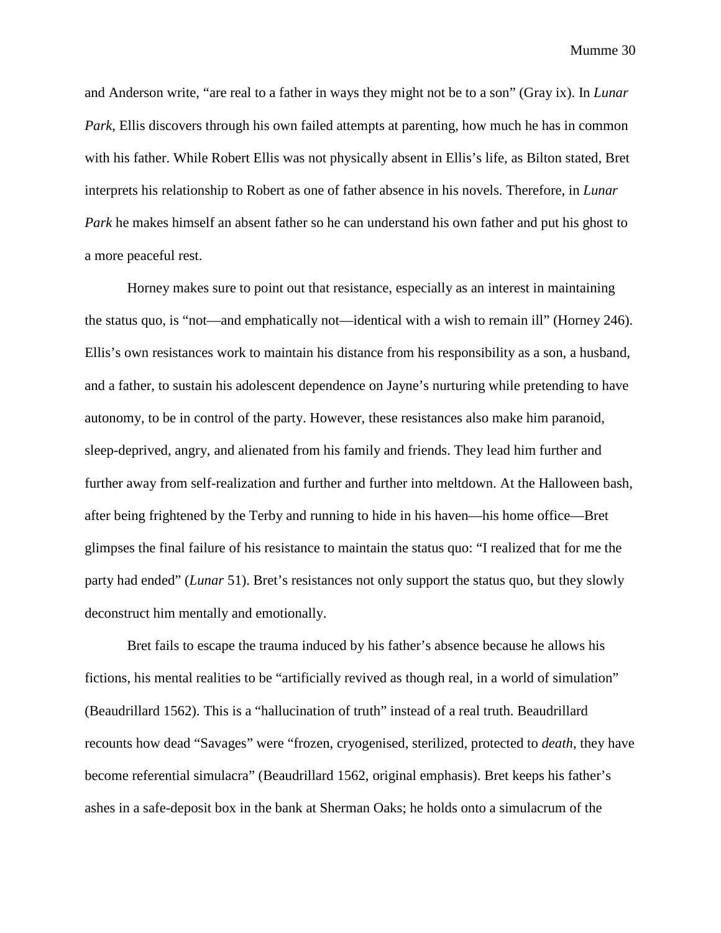and Anderson write, "are real to a father in ways they might not be to a son" (Gray ix). In *Lunar Park*, Ellis discovers through his own failed attempts at parenting, how much he has in common with his father. While Robert Ellis was not physically absent in Ellis's life, as Bilton stated, Bret interprets his relationship to Robert as one of father absence in his novels. Therefore, in *Lunar Park* he makes himself an absent father so he can understand his own father and put his ghost to a more peaceful rest.

Horney makes sure to point out that resistance, especially as an interest in maintaining the status quo, is "not—and emphatically not—identical with a wish to remain ill" (Horney 246). Ellis's own resistances work to maintain his distance from his responsibility as a son, a husband, and a father, to sustain his adolescent dependence on Jayne's nurturing while pretending to have autonomy, to be in control of the party. However, these resistances also make him paranoid, sleep-deprived, angry, and alienated from his family and friends. They lead him further and further away from self-realization and further and further into meltdown. At the Halloween bash, after being frightened by the Terby and running to hide in his haven—his home office—Bret glimpses the final failure of his resistance to maintain the status quo: "I realized that for me the party had ended" (*Lunar* 51). Bret's resistances not only support the status quo, but they slowly deconstruct him mentally and emotionally.

Bret fails to escape the trauma induced by his father's absence because he allows his fictions, his mental realities to be "artificially revived as though real, in a world of simulation" (Beaudrillard 1562). This is a "hallucination of truth" instead of a real truth. Beaudrillard recounts how dead "Savages" were "frozen, cryogenised, sterilized, protected to *death*, they have become referential simulacra" (Beaudrillard 1562, original emphasis). Bret keeps his father's ashes in a safe-deposit box in the bank at Sherman Oaks; he holds onto a simulacrum of the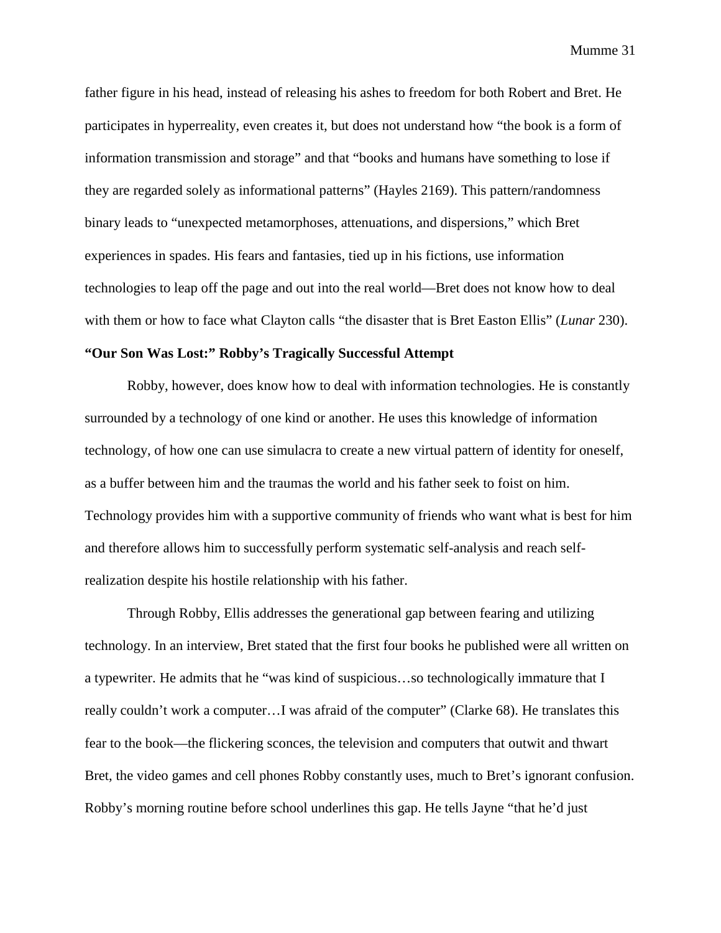father figure in his head, instead of releasing his ashes to freedom for both Robert and Bret. He participates in hyperreality, even creates it, but does not understand how "the book is a form of information transmission and storage" and that "books and humans have something to lose if they are regarded solely as informational patterns" (Hayles 2169). This pattern/randomness binary leads to "unexpected metamorphoses, attenuations, and dispersions," which Bret experiences in spades. His fears and fantasies, tied up in his fictions, use information technologies to leap off the page and out into the real world—Bret does not know how to deal with them or how to face what Clayton calls "the disaster that is Bret Easton Ellis" (*Lunar* 230).

# **"Our Son Was Lost:" Robby's Tragically Successful Attempt**

Robby, however, does know how to deal with information technologies. He is constantly surrounded by a technology of one kind or another. He uses this knowledge of information technology, of how one can use simulacra to create a new virtual pattern of identity for oneself, as a buffer between him and the traumas the world and his father seek to foist on him. Technology provides him with a supportive community of friends who want what is best for him and therefore allows him to successfully perform systematic self-analysis and reach selfrealization despite his hostile relationship with his father.

Through Robby, Ellis addresses the generational gap between fearing and utilizing technology. In an interview, Bret stated that the first four books he published were all written on a typewriter. He admits that he "was kind of suspicious…so technologically immature that I really couldn't work a computer…I was afraid of the computer" (Clarke 68). He translates this fear to the book—the flickering sconces, the television and computers that outwit and thwart Bret, the video games and cell phones Robby constantly uses, much to Bret's ignorant confusion. Robby's morning routine before school underlines this gap. He tells Jayne "that he'd just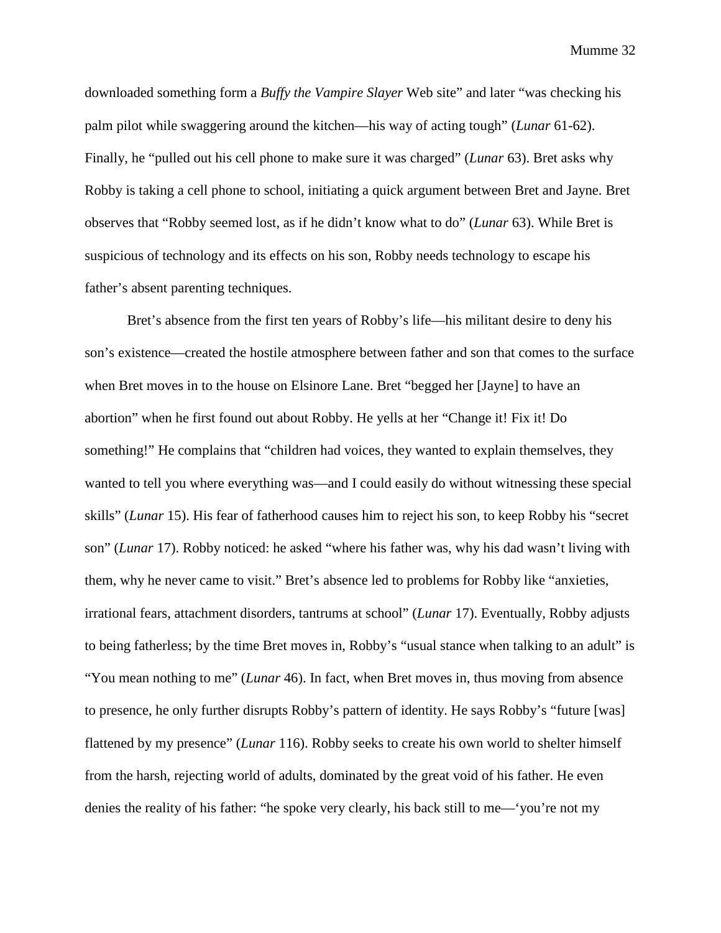downloaded something form a *Buffy the Vampire Slayer* Web site" and later "was checking his palm pilot while swaggering around the kitchen—his way of acting tough" (*Lunar* 61-62). Finally, he "pulled out his cell phone to make sure it was charged" (*Lunar* 63). Bret asks why Robby is taking a cell phone to school, initiating a quick argument between Bret and Jayne. Bret observes that "Robby seemed lost, as if he didn't know what to do" (*Lunar* 63). While Bret is suspicious of technology and its effects on his son, Robby needs technology to escape his father's absent parenting techniques.

Bret's absence from the first ten years of Robby's life—his militant desire to deny his son's existence—created the hostile atmosphere between father and son that comes to the surface when Bret moves in to the house on Elsinore Lane. Bret "begged her [Jayne] to have an abortion" when he first found out about Robby. He yells at her "Change it! Fix it! Do something!" He complains that "children had voices, they wanted to explain themselves, they wanted to tell you where everything was—and I could easily do without witnessing these special skills" (*Lunar* 15). His fear of fatherhood causes him to reject his son, to keep Robby his "secret son" (*Lunar* 17). Robby noticed: he asked "where his father was, why his dad wasn't living with them, why he never came to visit." Bret's absence led to problems for Robby like "anxieties, irrational fears, attachment disorders, tantrums at school" (*Lunar* 17). Eventually, Robby adjusts to being fatherless; by the time Bret moves in, Robby's "usual stance when talking to an adult" is "You mean nothing to me" (*Lunar* 46). In fact, when Bret moves in, thus moving from absence to presence, he only further disrupts Robby's pattern of identity. He says Robby's "future [was] flattened by my presence" (*Lunar* 116). Robby seeks to create his own world to shelter himself from the harsh, rejecting world of adults, dominated by the great void of his father. He even denies the reality of his father: "he spoke very clearly, his back still to me—'you're not my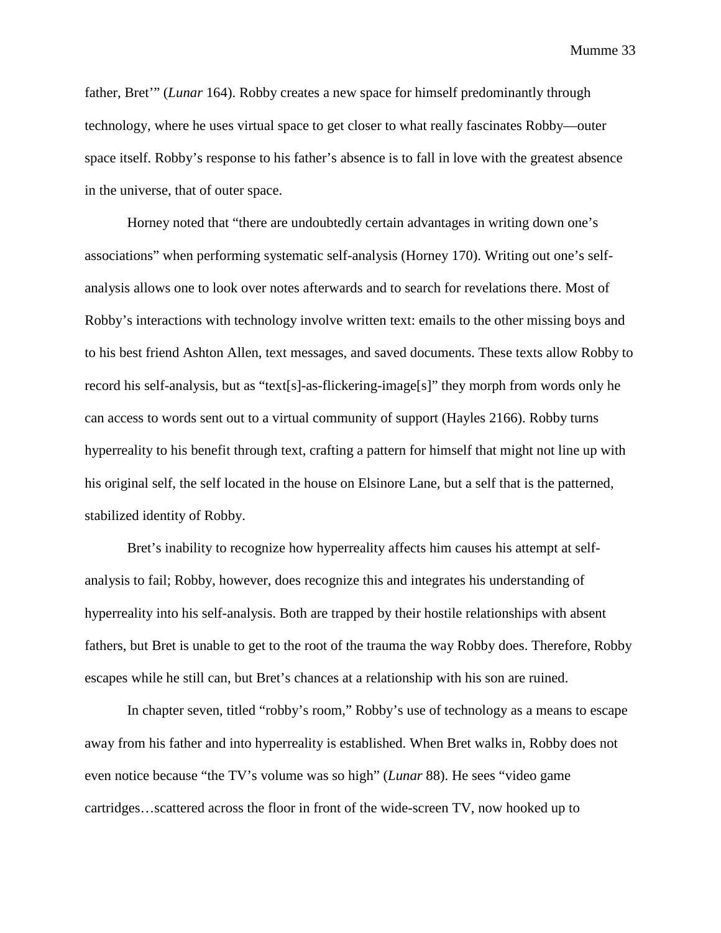father, Bret'" (*Lunar* 164). Robby creates a new space for himself predominantly through technology, where he uses virtual space to get closer to what really fascinates Robby—outer space itself. Robby's response to his father's absence is to fall in love with the greatest absence in the universe, that of outer space.

Horney noted that "there are undoubtedly certain advantages in writing down one's associations" when performing systematic self-analysis (Horney 170). Writing out one's selfanalysis allows one to look over notes afterwards and to search for revelations there. Most of Robby's interactions with technology involve written text: emails to the other missing boys and to his best friend Ashton Allen, text messages, and saved documents. These texts allow Robby to record his self-analysis, but as "text[s]-as-flickering-image[s]" they morph from words only he can access to words sent out to a virtual community of support (Hayles 2166). Robby turns hyperreality to his benefit through text, crafting a pattern for himself that might not line up with his original self, the self located in the house on Elsinore Lane, but a self that is the patterned, stabilized identity of Robby.

Bret's inability to recognize how hyperreality affects him causes his attempt at selfanalysis to fail; Robby, however, does recognize this and integrates his understanding of hyperreality into his self-analysis. Both are trapped by their hostile relationships with absent fathers, but Bret is unable to get to the root of the trauma the way Robby does. Therefore, Robby escapes while he still can, but Bret's chances at a relationship with his son are ruined.

In chapter seven, titled "robby's room," Robby's use of technology as a means to escape away from his father and into hyperreality is established. When Bret walks in, Robby does not even notice because "the TV's volume was so high" (*Lunar* 88). He sees "video game cartridges…scattered across the floor in front of the wide-screen TV, now hooked up to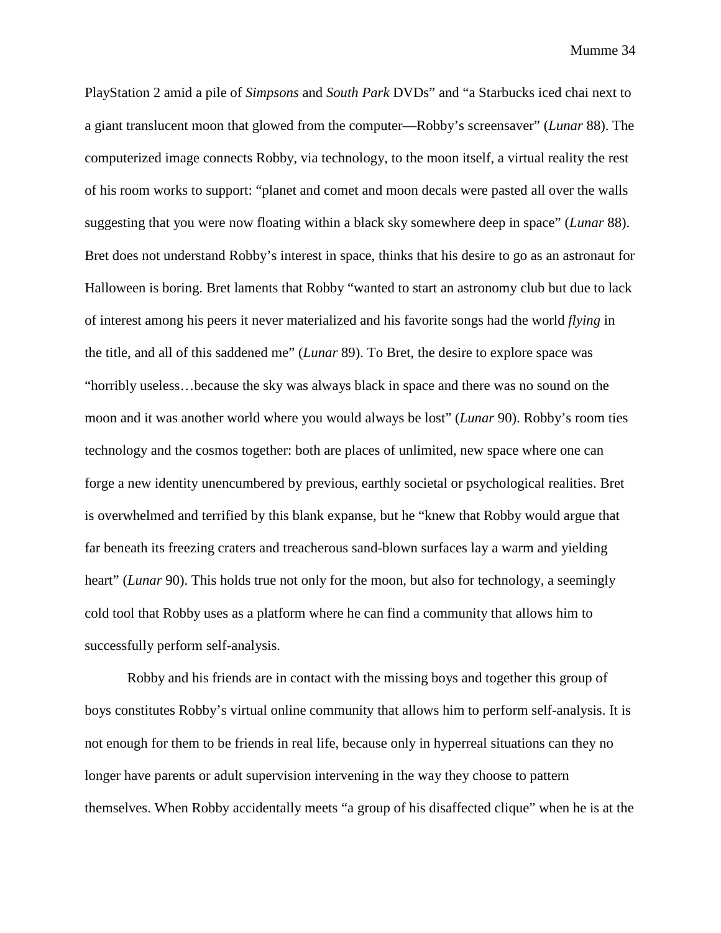PlayStation 2 amid a pile of *Simpsons* and *South Park* DVDs" and "a Starbucks iced chai next to a giant translucent moon that glowed from the computer—Robby's screensaver" (*Lunar* 88). The computerized image connects Robby, via technology, to the moon itself, a virtual reality the rest of his room works to support: "planet and comet and moon decals were pasted all over the walls suggesting that you were now floating within a black sky somewhere deep in space" (*Lunar* 88). Bret does not understand Robby's interest in space, thinks that his desire to go as an astronaut for Halloween is boring. Bret laments that Robby "wanted to start an astronomy club but due to lack of interest among his peers it never materialized and his favorite songs had the world *flying* in the title, and all of this saddened me" (*Lunar* 89). To Bret, the desire to explore space was "horribly useless…because the sky was always black in space and there was no sound on the moon and it was another world where you would always be lost" (*Lunar* 90). Robby's room ties technology and the cosmos together: both are places of unlimited, new space where one can forge a new identity unencumbered by previous, earthly societal or psychological realities. Bret is overwhelmed and terrified by this blank expanse, but he "knew that Robby would argue that far beneath its freezing craters and treacherous sand-blown surfaces lay a warm and yielding heart" (*Lunar* 90). This holds true not only for the moon, but also for technology, a seemingly cold tool that Robby uses as a platform where he can find a community that allows him to successfully perform self-analysis.

Robby and his friends are in contact with the missing boys and together this group of boys constitutes Robby's virtual online community that allows him to perform self-analysis. It is not enough for them to be friends in real life, because only in hyperreal situations can they no longer have parents or adult supervision intervening in the way they choose to pattern themselves. When Robby accidentally meets "a group of his disaffected clique" when he is at the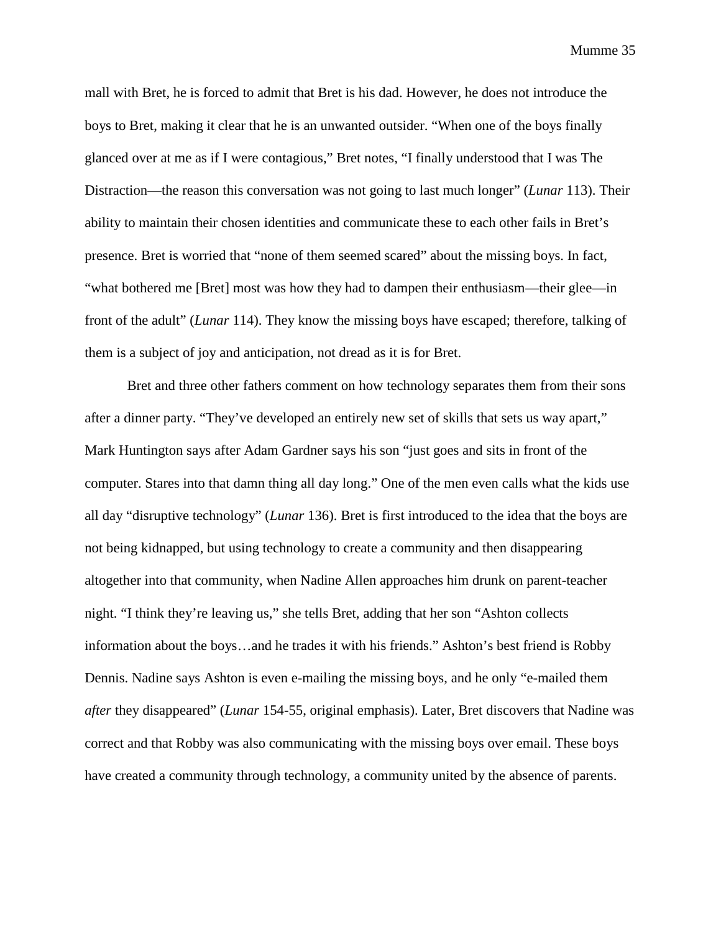mall with Bret, he is forced to admit that Bret is his dad. However, he does not introduce the boys to Bret, making it clear that he is an unwanted outsider. "When one of the boys finally glanced over at me as if I were contagious," Bret notes, "I finally understood that I was The Distraction—the reason this conversation was not going to last much longer" (*Lunar* 113). Their ability to maintain their chosen identities and communicate these to each other fails in Bret's presence. Bret is worried that "none of them seemed scared" about the missing boys. In fact, "what bothered me [Bret] most was how they had to dampen their enthusiasm—their glee—in front of the adult" (*Lunar* 114). They know the missing boys have escaped; therefore, talking of them is a subject of joy and anticipation, not dread as it is for Bret.

Bret and three other fathers comment on how technology separates them from their sons after a dinner party. "They've developed an entirely new set of skills that sets us way apart," Mark Huntington says after Adam Gardner says his son "just goes and sits in front of the computer. Stares into that damn thing all day long." One of the men even calls what the kids use all day "disruptive technology" (*Lunar* 136). Bret is first introduced to the idea that the boys are not being kidnapped, but using technology to create a community and then disappearing altogether into that community, when Nadine Allen approaches him drunk on parent-teacher night. "I think they're leaving us," she tells Bret, adding that her son "Ashton collects information about the boys…and he trades it with his friends." Ashton's best friend is Robby Dennis. Nadine says Ashton is even e-mailing the missing boys, and he only "e-mailed them *after* they disappeared" (*Lunar* 154-55, original emphasis). Later, Bret discovers that Nadine was correct and that Robby was also communicating with the missing boys over email. These boys have created a community through technology, a community united by the absence of parents.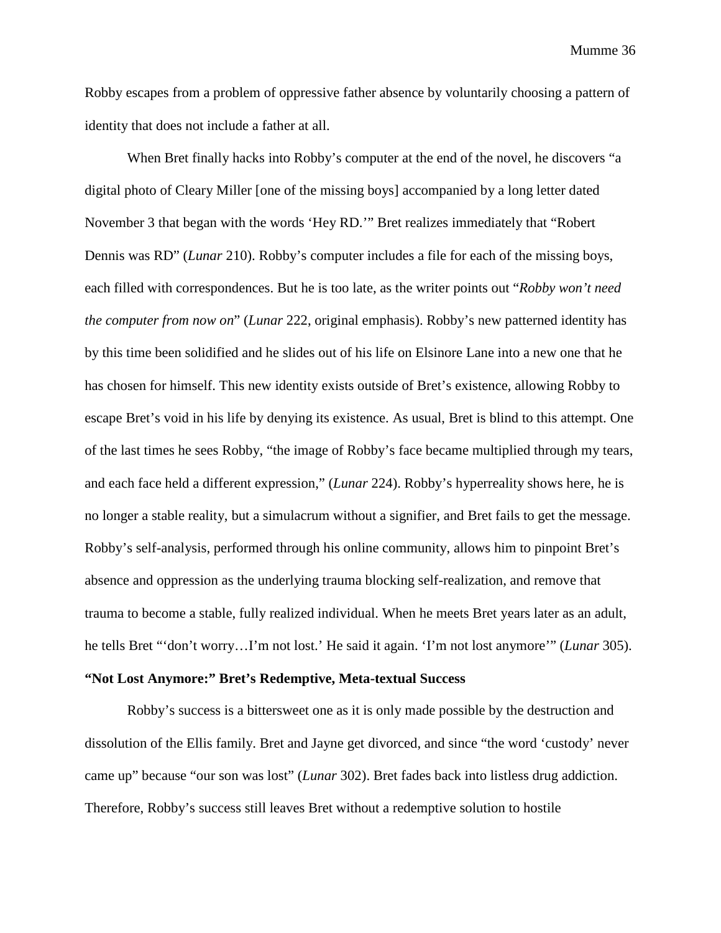Robby escapes from a problem of oppressive father absence by voluntarily choosing a pattern of identity that does not include a father at all.

When Bret finally hacks into Robby's computer at the end of the novel, he discovers "a digital photo of Cleary Miller [one of the missing boys] accompanied by a long letter dated November 3 that began with the words 'Hey RD.'" Bret realizes immediately that "Robert Dennis was RD" (*Lunar* 210). Robby's computer includes a file for each of the missing boys, each filled with correspondences. But he is too late, as the writer points out "*Robby won't need the computer from now on*" (*Lunar* 222, original emphasis). Robby's new patterned identity has by this time been solidified and he slides out of his life on Elsinore Lane into a new one that he has chosen for himself. This new identity exists outside of Bret's existence, allowing Robby to escape Bret's void in his life by denying its existence. As usual, Bret is blind to this attempt. One of the last times he sees Robby, "the image of Robby's face became multiplied through my tears, and each face held a different expression," (*Lunar* 224). Robby's hyperreality shows here, he is no longer a stable reality, but a simulacrum without a signifier, and Bret fails to get the message. Robby's self-analysis, performed through his online community, allows him to pinpoint Bret's absence and oppression as the underlying trauma blocking self-realization, and remove that trauma to become a stable, fully realized individual. When he meets Bret years later as an adult, he tells Bret "'don't worry…I'm not lost.' He said it again. 'I'm not lost anymore'" (*Lunar* 305).

# **"Not Lost Anymore:" Bret's Redemptive, Meta-textual Success**

Robby's success is a bittersweet one as it is only made possible by the destruction and dissolution of the Ellis family. Bret and Jayne get divorced, and since "the word 'custody' never came up" because "our son was lost" (*Lunar* 302). Bret fades back into listless drug addiction. Therefore, Robby's success still leaves Bret without a redemptive solution to hostile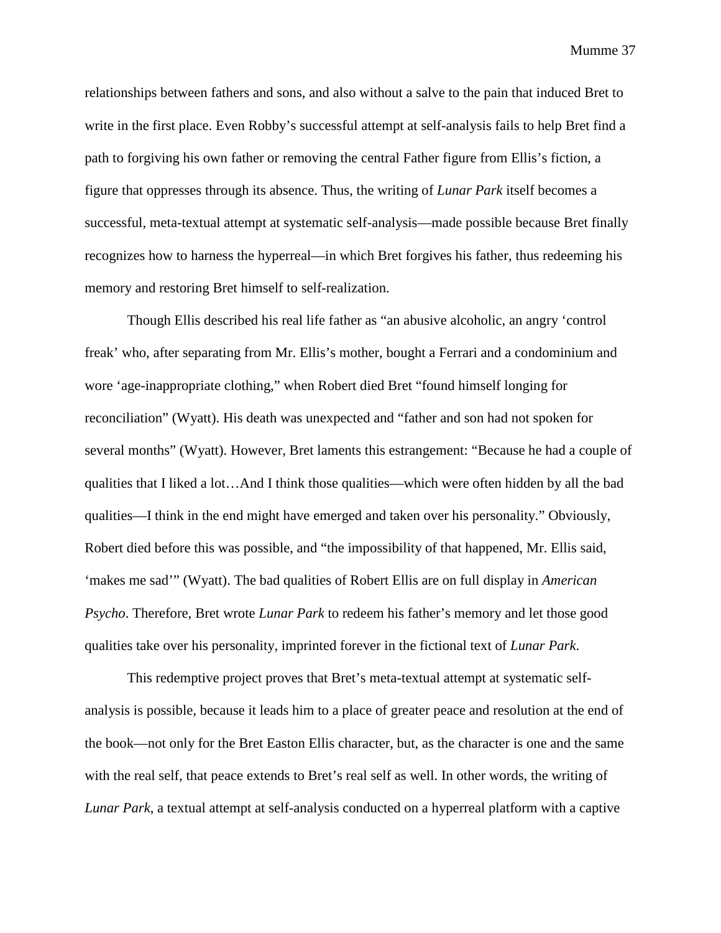relationships between fathers and sons, and also without a salve to the pain that induced Bret to write in the first place. Even Robby's successful attempt at self-analysis fails to help Bret find a path to forgiving his own father or removing the central Father figure from Ellis's fiction, a figure that oppresses through its absence. Thus, the writing of *Lunar Park* itself becomes a successful, meta-textual attempt at systematic self-analysis—made possible because Bret finally recognizes how to harness the hyperreal—in which Bret forgives his father, thus redeeming his memory and restoring Bret himself to self-realization.

Though Ellis described his real life father as "an abusive alcoholic, an angry 'control freak' who, after separating from Mr. Ellis's mother, bought a Ferrari and a condominium and wore 'age-inappropriate clothing," when Robert died Bret "found himself longing for reconciliation" (Wyatt). His death was unexpected and "father and son had not spoken for several months" (Wyatt). However, Bret laments this estrangement: "Because he had a couple of qualities that I liked a lot…And I think those qualities—which were often hidden by all the bad qualities—I think in the end might have emerged and taken over his personality." Obviously, Robert died before this was possible, and "the impossibility of that happened, Mr. Ellis said, 'makes me sad'" (Wyatt). The bad qualities of Robert Ellis are on full display in *American Psycho*. Therefore, Bret wrote *Lunar Park* to redeem his father's memory and let those good qualities take over his personality, imprinted forever in the fictional text of *Lunar Park*.

This redemptive project proves that Bret's meta-textual attempt at systematic selfanalysis is possible, because it leads him to a place of greater peace and resolution at the end of the book—not only for the Bret Easton Ellis character, but, as the character is one and the same with the real self, that peace extends to Bret's real self as well. In other words, the writing of *Lunar Park*, a textual attempt at self-analysis conducted on a hyperreal platform with a captive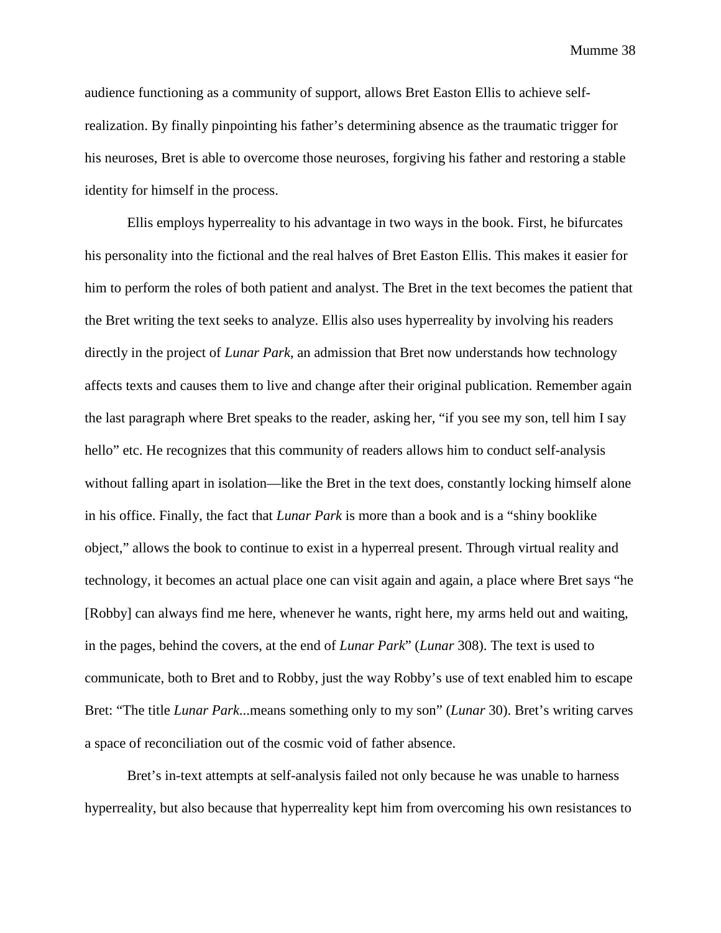audience functioning as a community of support, allows Bret Easton Ellis to achieve selfrealization. By finally pinpointing his father's determining absence as the traumatic trigger for his neuroses, Bret is able to overcome those neuroses, forgiving his father and restoring a stable identity for himself in the process.

Ellis employs hyperreality to his advantage in two ways in the book. First, he bifurcates his personality into the fictional and the real halves of Bret Easton Ellis. This makes it easier for him to perform the roles of both patient and analyst. The Bret in the text becomes the patient that the Bret writing the text seeks to analyze. Ellis also uses hyperreality by involving his readers directly in the project of *Lunar Park*, an admission that Bret now understands how technology affects texts and causes them to live and change after their original publication. Remember again the last paragraph where Bret speaks to the reader, asking her, "if you see my son, tell him I say hello" etc. He recognizes that this community of readers allows him to conduct self-analysis without falling apart in isolation—like the Bret in the text does, constantly locking himself alone in his office. Finally, the fact that *Lunar Park* is more than a book and is a "shiny booklike object," allows the book to continue to exist in a hyperreal present. Through virtual reality and technology, it becomes an actual place one can visit again and again, a place where Bret says "he [Robby] can always find me here, whenever he wants, right here, my arms held out and waiting, in the pages, behind the covers, at the end of *Lunar Park*" (*Lunar* 308). The text is used to communicate, both to Bret and to Robby, just the way Robby's use of text enabled him to escape Bret: "The title *Lunar Park*...means something only to my son" (*Lunar* 30). Bret's writing carves a space of reconciliation out of the cosmic void of father absence.

Bret's in-text attempts at self-analysis failed not only because he was unable to harness hyperreality, but also because that hyperreality kept him from overcoming his own resistances to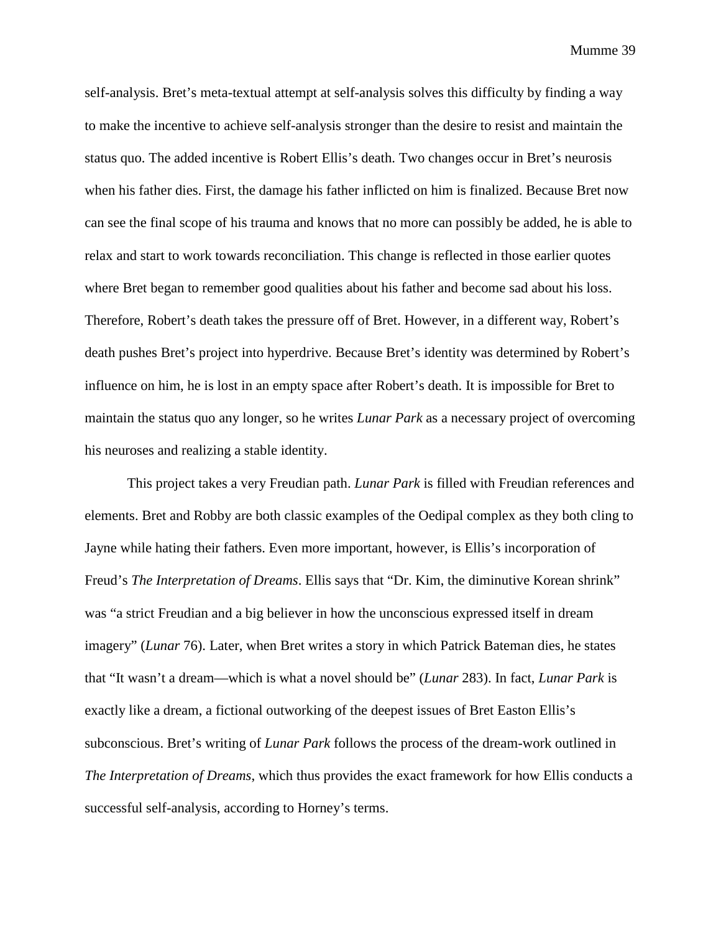self-analysis. Bret's meta-textual attempt at self-analysis solves this difficulty by finding a way to make the incentive to achieve self-analysis stronger than the desire to resist and maintain the status quo. The added incentive is Robert Ellis's death. Two changes occur in Bret's neurosis when his father dies. First, the damage his father inflicted on him is finalized. Because Bret now can see the final scope of his trauma and knows that no more can possibly be added, he is able to relax and start to work towards reconciliation. This change is reflected in those earlier quotes where Bret began to remember good qualities about his father and become sad about his loss. Therefore, Robert's death takes the pressure off of Bret. However, in a different way, Robert's death pushes Bret's project into hyperdrive. Because Bret's identity was determined by Robert's influence on him, he is lost in an empty space after Robert's death. It is impossible for Bret to maintain the status quo any longer, so he writes *Lunar Park* as a necessary project of overcoming his neuroses and realizing a stable identity.

This project takes a very Freudian path. *Lunar Park* is filled with Freudian references and elements. Bret and Robby are both classic examples of the Oedipal complex as they both cling to Jayne while hating their fathers. Even more important, however, is Ellis's incorporation of Freud's *The Interpretation of Dreams*. Ellis says that "Dr. Kim, the diminutive Korean shrink" was "a strict Freudian and a big believer in how the unconscious expressed itself in dream imagery" (*Lunar* 76). Later, when Bret writes a story in which Patrick Bateman dies, he states that "It wasn't a dream—which is what a novel should be" (*Lunar* 283). In fact, *Lunar Park* is exactly like a dream, a fictional outworking of the deepest issues of Bret Easton Ellis's subconscious. Bret's writing of *Lunar Park* follows the process of the dream-work outlined in *The Interpretation of Dreams*, which thus provides the exact framework for how Ellis conducts a successful self-analysis, according to Horney's terms.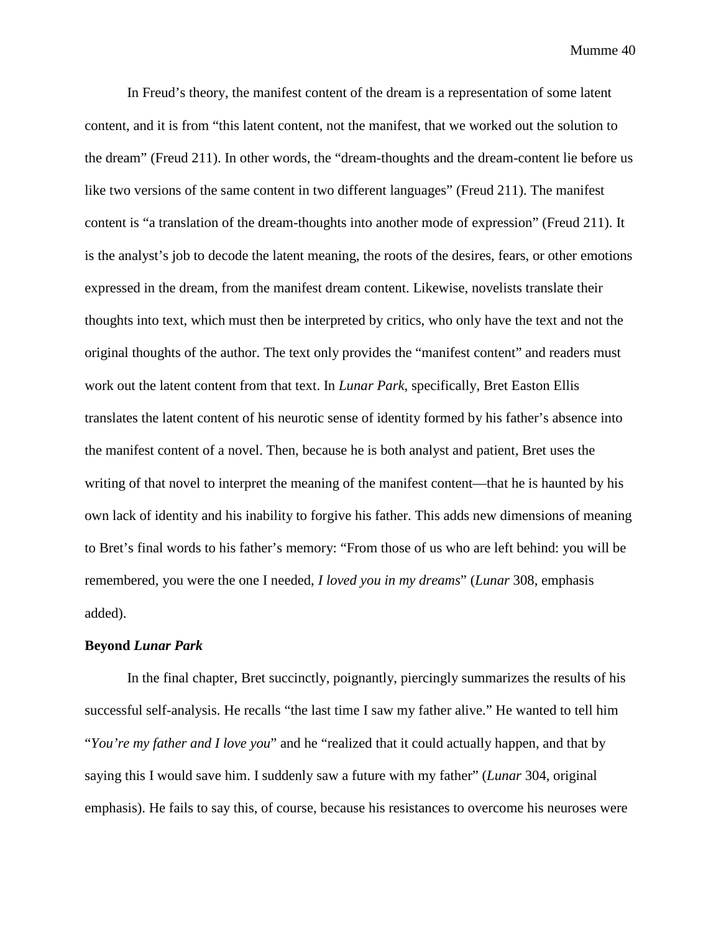In Freud's theory, the manifest content of the dream is a representation of some latent content, and it is from "this latent content, not the manifest, that we worked out the solution to the dream" (Freud 211). In other words, the "dream-thoughts and the dream-content lie before us like two versions of the same content in two different languages" (Freud 211). The manifest content is "a translation of the dream-thoughts into another mode of expression" (Freud 211). It is the analyst's job to decode the latent meaning, the roots of the desires, fears, or other emotions expressed in the dream, from the manifest dream content. Likewise, novelists translate their thoughts into text, which must then be interpreted by critics, who only have the text and not the original thoughts of the author. The text only provides the "manifest content" and readers must work out the latent content from that text. In *Lunar Park*, specifically, Bret Easton Ellis translates the latent content of his neurotic sense of identity formed by his father's absence into the manifest content of a novel. Then, because he is both analyst and patient, Bret uses the writing of that novel to interpret the meaning of the manifest content—that he is haunted by his own lack of identity and his inability to forgive his father. This adds new dimensions of meaning to Bret's final words to his father's memory: "From those of us who are left behind: you will be remembered, you were the one I needed, *I loved you in my dreams*" (*Lunar* 308, emphasis added).

#### **Beyond** *Lunar Park*

In the final chapter, Bret succinctly, poignantly, piercingly summarizes the results of his successful self-analysis. He recalls "the last time I saw my father alive." He wanted to tell him "*You're my father and I love you*" and he "realized that it could actually happen, and that by saying this I would save him. I suddenly saw a future with my father" (*Lunar* 304, original emphasis). He fails to say this, of course, because his resistances to overcome his neuroses were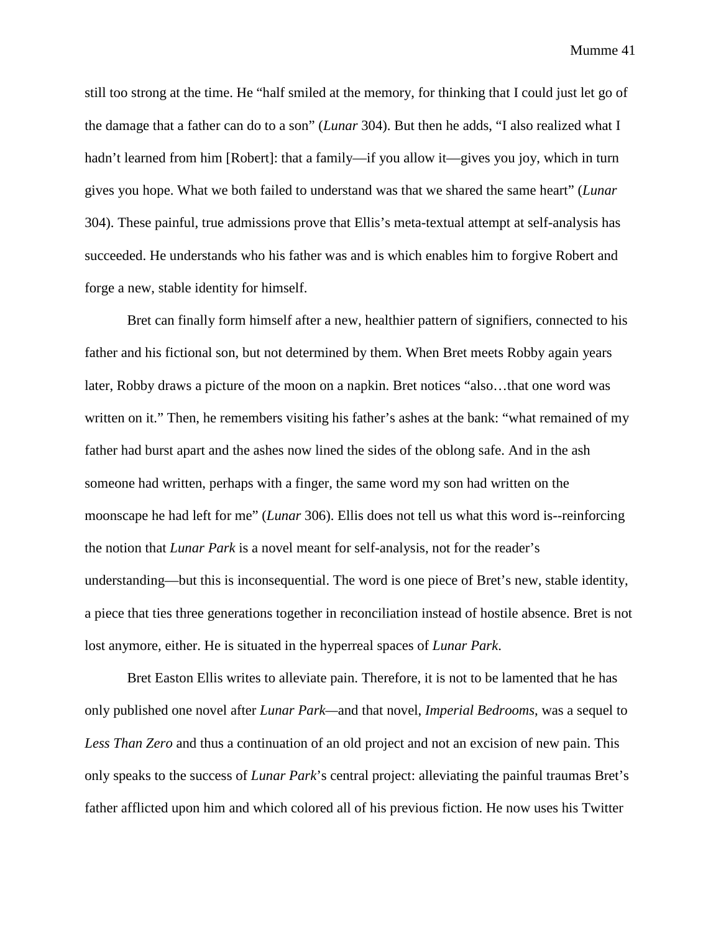still too strong at the time. He "half smiled at the memory, for thinking that I could just let go of the damage that a father can do to a son" (*Lunar* 304). But then he adds, "I also realized what I hadn't learned from him [Robert]: that a family—if you allow it—gives you joy, which in turn gives you hope. What we both failed to understand was that we shared the same heart" (*Lunar*  304). These painful, true admissions prove that Ellis's meta-textual attempt at self-analysis has succeeded. He understands who his father was and is which enables him to forgive Robert and forge a new, stable identity for himself.

Bret can finally form himself after a new, healthier pattern of signifiers, connected to his father and his fictional son, but not determined by them. When Bret meets Robby again years later, Robby draws a picture of the moon on a napkin. Bret notices "also…that one word was written on it." Then, he remembers visiting his father's ashes at the bank: "what remained of my father had burst apart and the ashes now lined the sides of the oblong safe. And in the ash someone had written, perhaps with a finger, the same word my son had written on the moonscape he had left for me" (*Lunar* 306). Ellis does not tell us what this word is--reinforcing the notion that *Lunar Park* is a novel meant for self-analysis, not for the reader's understanding—but this is inconsequential. The word is one piece of Bret's new, stable identity, a piece that ties three generations together in reconciliation instead of hostile absence. Bret is not lost anymore, either. He is situated in the hyperreal spaces of *Lunar Park*.

Bret Easton Ellis writes to alleviate pain. Therefore, it is not to be lamented that he has only published one novel after *Lunar Park—*and that novel, *Imperial Bedrooms*, was a sequel to *Less Than Zero* and thus a continuation of an old project and not an excision of new pain. This only speaks to the success of *Lunar Park*'s central project: alleviating the painful traumas Bret's father afflicted upon him and which colored all of his previous fiction. He now uses his Twitter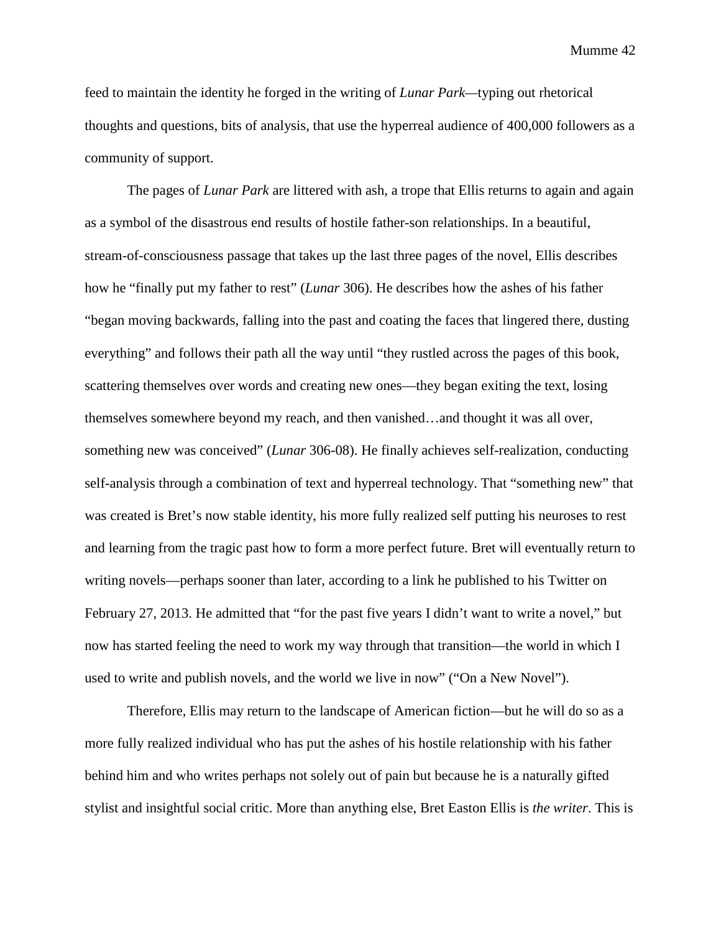feed to maintain the identity he forged in the writing of *Lunar Park—*typing out rhetorical thoughts and questions, bits of analysis, that use the hyperreal audience of 400,000 followers as a community of support.

The pages of *Lunar Park* are littered with ash, a trope that Ellis returns to again and again as a symbol of the disastrous end results of hostile father-son relationships. In a beautiful, stream-of-consciousness passage that takes up the last three pages of the novel, Ellis describes how he "finally put my father to rest" (*Lunar* 306). He describes how the ashes of his father "began moving backwards, falling into the past and coating the faces that lingered there, dusting everything" and follows their path all the way until "they rustled across the pages of this book, scattering themselves over words and creating new ones—they began exiting the text, losing themselves somewhere beyond my reach, and then vanished…and thought it was all over, something new was conceived" (*Lunar* 306-08). He finally achieves self-realization, conducting self-analysis through a combination of text and hyperreal technology. That "something new" that was created is Bret's now stable identity, his more fully realized self putting his neuroses to rest and learning from the tragic past how to form a more perfect future. Bret will eventually return to writing novels—perhaps sooner than later, according to a link he published to his Twitter on February 27, 2013. He admitted that "for the past five years I didn't want to write a novel," but now has started feeling the need to work my way through that transition—the world in which I used to write and publish novels, and the world we live in now" ("On a New Novel").

Therefore, Ellis may return to the landscape of American fiction—but he will do so as a more fully realized individual who has put the ashes of his hostile relationship with his father behind him and who writes perhaps not solely out of pain but because he is a naturally gifted stylist and insightful social critic. More than anything else, Bret Easton Ellis is *the writer*. This is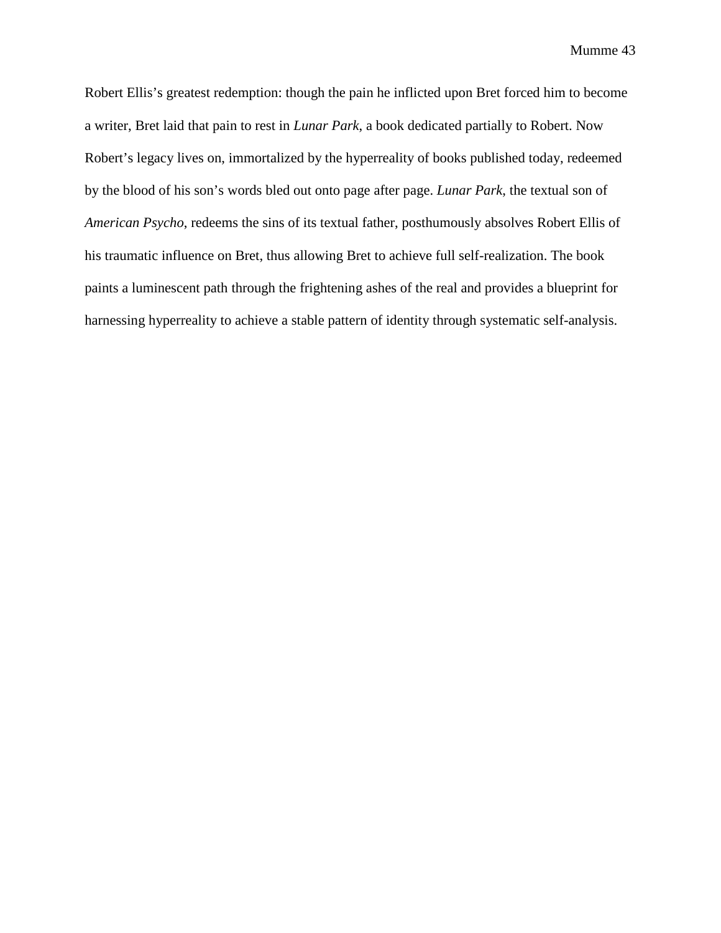Robert Ellis's greatest redemption: though the pain he inflicted upon Bret forced him to become a writer, Bret laid that pain to rest in *Lunar Park*, a book dedicated partially to Robert. Now Robert's legacy lives on, immortalized by the hyperreality of books published today, redeemed by the blood of his son's words bled out onto page after page. *Lunar Park*, the textual son of *American Psycho*, redeems the sins of its textual father, posthumously absolves Robert Ellis of his traumatic influence on Bret, thus allowing Bret to achieve full self-realization. The book paints a luminescent path through the frightening ashes of the real and provides a blueprint for harnessing hyperreality to achieve a stable pattern of identity through systematic self-analysis.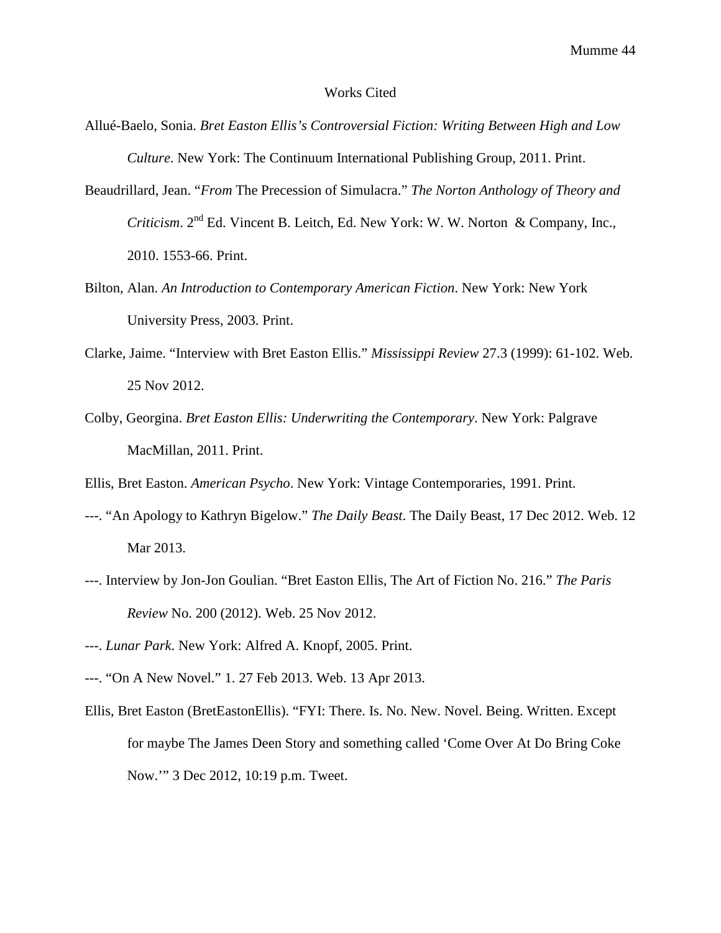#### Works Cited

- Allué-Baelo, Sonia. *Bret Easton Ellis's Controversial Fiction: Writing Between High and Low Culture*. New York: The Continuum International Publishing Group, 2011. Print.
- Beaudrillard, Jean. "*From* The Precession of Simulacra." *The Norton Anthology of Theory and Criticism*. 2nd Ed. Vincent B. Leitch, Ed. New York: W. W. Norton & Company, Inc., 2010. 1553-66. Print.
- Bilton, Alan. *An Introduction to Contemporary American Fiction*. New York: New York University Press, 2003. Print.
- Clarke, Jaime. "Interview with Bret Easton Ellis." *Mississippi Review* 27.3 (1999): 61-102. Web. 25 Nov 2012.
- Colby, Georgina. *Bret Easton Ellis: Underwriting the Contemporary*. New York: Palgrave MacMillan, 2011. Print.

Ellis, Bret Easton. *American Psycho*. New York: Vintage Contemporaries, 1991. Print.

- ---. "An Apology to Kathryn Bigelow." *The Daily Beast*. The Daily Beast, 17 Dec 2012. Web. 12 Mar 2013.
- ---. Interview by Jon-Jon Goulian. "Bret Easton Ellis, The Art of Fiction No. 216." *The Paris Review* No. 200 (2012). Web. 25 Nov 2012.
- ---. *Lunar Park*. New York: Alfred A. Knopf, 2005. Print.
- ---. "On A New Novel." 1. 27 Feb 2013. Web. 13 Apr 2013.
- Ellis, Bret Easton (BretEastonEllis). "FYI: There. Is. No. New. Novel. Being. Written. Except for maybe The James Deen Story and something called 'Come Over At Do Bring Coke Now.'" 3 Dec 2012, 10:19 p.m. Tweet.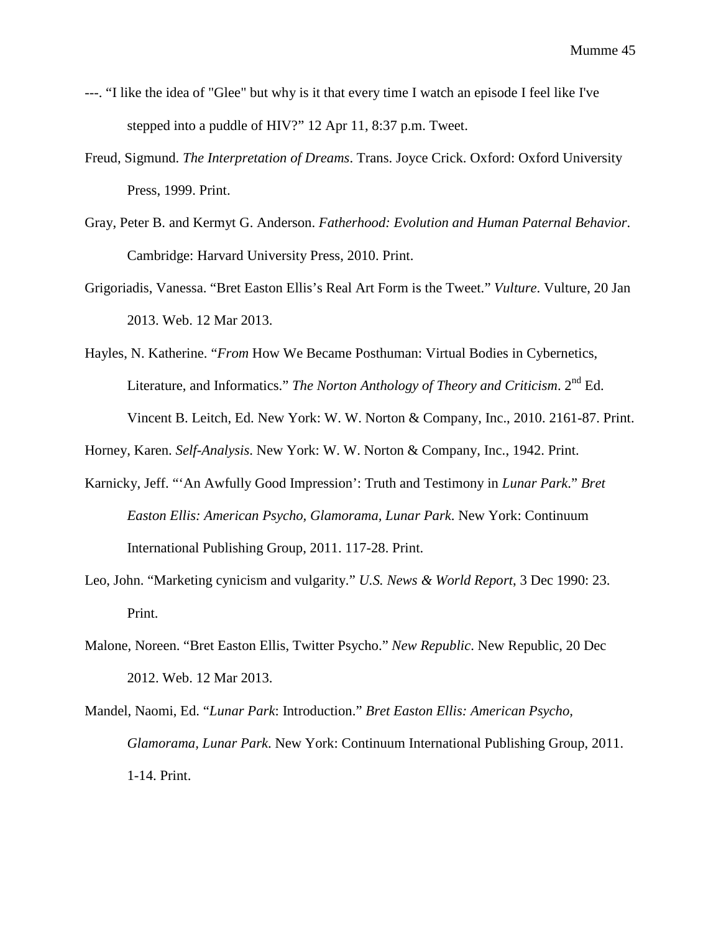- ---. "I like the idea of "Glee" but why is it that every time I watch an episode I feel like I've stepped into a puddle of HIV?" 12 Apr 11, 8:37 p.m. Tweet.
- Freud, Sigmund. *The Interpretation of Dreams*. Trans. Joyce Crick. Oxford: Oxford University Press, 1999. Print.
- Gray, Peter B. and Kermyt G. Anderson. *Fatherhood: Evolution and Human Paternal Behavior*. Cambridge: Harvard University Press, 2010. Print.
- Grigoriadis, Vanessa. "Bret Easton Ellis's Real Art Form is the Tweet." *Vulture*. Vulture, 20 Jan 2013. Web. 12 Mar 2013.
- Hayles, N. Katherine. "*From* How We Became Posthuman: Virtual Bodies in Cybernetics, Literature, and Informatics." *The Norton Anthology of Theory and Criticism*. 2nd Ed. Vincent B. Leitch, Ed. New York: W. W. Norton & Company, Inc., 2010. 2161-87. Print.

Horney, Karen. *Self-Analysis*. New York: W. W. Norton & Company, Inc., 1942. Print.

- Karnicky, Jeff. "'An Awfully Good Impression': Truth and Testimony in *Lunar Park*." *Bret Easton Ellis: American Psycho, Glamorama, Lunar Park*. New York: Continuum International Publishing Group, 2011. 117-28. Print.
- Leo, John. "Marketing cynicism and vulgarity." *U.S. News & World Report*, 3 Dec 1990: 23. Print.
- Malone, Noreen. "Bret Easton Ellis, Twitter Psycho." *New Republic*. New Republic, 20 Dec 2012. Web. 12 Mar 2013.
- Mandel, Naomi, Ed. "*Lunar Park*: Introduction." *Bret Easton Ellis: American Psycho, Glamorama, Lunar Park*. New York: Continuum International Publishing Group, 2011. 1-14. Print.